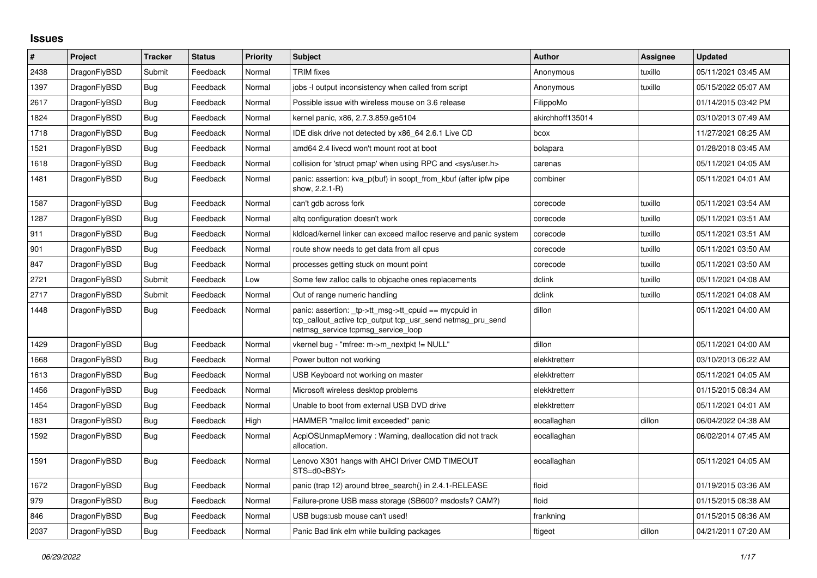## **Issues**

| #    | Project      | <b>Tracker</b> | <b>Status</b> | <b>Priority</b> | <b>Subject</b>                                                                                                                                            | <b>Author</b>    | Assignee | <b>Updated</b>      |
|------|--------------|----------------|---------------|-----------------|-----------------------------------------------------------------------------------------------------------------------------------------------------------|------------------|----------|---------------------|
| 2438 | DragonFlyBSD | Submit         | Feedback      | Normal          | <b>TRIM</b> fixes                                                                                                                                         | Anonymous        | tuxillo  | 05/11/2021 03:45 AM |
| 1397 | DragonFlyBSD | Bug            | Feedback      | Normal          | jobs -I output inconsistency when called from script                                                                                                      | Anonymous        | tuxillo  | 05/15/2022 05:07 AM |
| 2617 | DragonFlyBSD | Bug            | Feedback      | Normal          | Possible issue with wireless mouse on 3.6 release                                                                                                         | FilippoMo        |          | 01/14/2015 03:42 PM |
| 1824 | DragonFlyBSD | <b>Bug</b>     | Feedback      | Normal          | kernel panic, x86, 2.7.3.859.ge5104                                                                                                                       | akirchhoff135014 |          | 03/10/2013 07:49 AM |
| 1718 | DragonFlyBSD | <b>Bug</b>     | Feedback      | Normal          | IDE disk drive not detected by x86 64 2.6.1 Live CD                                                                                                       | bcox             |          | 11/27/2021 08:25 AM |
| 1521 | DragonFlyBSD | <b>Bug</b>     | Feedback      | Normal          | amd64 2.4 livecd won't mount root at boot                                                                                                                 | bolapara         |          | 01/28/2018 03:45 AM |
| 1618 | DragonFlyBSD | <b>Bug</b>     | Feedback      | Normal          | collision for 'struct pmap' when using RPC and <sys user.h=""></sys>                                                                                      | carenas          |          | 05/11/2021 04:05 AM |
| 1481 | DragonFlyBSD | <b>Bug</b>     | Feedback      | Normal          | panic: assertion: kva_p(buf) in soopt_from_kbuf (after ipfw pipe<br>show, 2.2.1-R)                                                                        | combiner         |          | 05/11/2021 04:01 AM |
| 1587 | DragonFlyBSD | Bug            | Feedback      | Normal          | can't gdb across fork                                                                                                                                     | corecode         | tuxillo  | 05/11/2021 03:54 AM |
| 1287 | DragonFlyBSD | Bug            | Feedback      | Normal          | altq configuration doesn't work                                                                                                                           | corecode         | tuxillo  | 05/11/2021 03:51 AM |
| 911  | DragonFlyBSD | <b>Bug</b>     | Feedback      | Normal          | kldload/kernel linker can exceed malloc reserve and panic system                                                                                          | corecode         | tuxillo  | 05/11/2021 03:51 AM |
| 901  | DragonFlyBSD | Bug            | Feedback      | Normal          | route show needs to get data from all cpus                                                                                                                | corecode         | tuxillo  | 05/11/2021 03:50 AM |
| 847  | DragonFlyBSD | Bug            | Feedback      | Normal          | processes getting stuck on mount point                                                                                                                    | corecode         | tuxillo  | 05/11/2021 03:50 AM |
| 2721 | DragonFlyBSD | Submit         | Feedback      | Low             | Some few zalloc calls to objcache ones replacements                                                                                                       | dclink           | tuxillo  | 05/11/2021 04:08 AM |
| 2717 | DragonFlyBSD | Submit         | Feedback      | Normal          | Out of range numeric handling                                                                                                                             | dclink           | tuxillo  | 05/11/2021 04:08 AM |
| 1448 | DragonFlyBSD | Bug            | Feedback      | Normal          | panic: assertion: _tp->tt_msg->tt_cpuid == mycpuid in<br>tcp_callout_active tcp_output tcp_usr_send netmsg_pru_send<br>netmsg_service tcpmsg_service_loop | dillon           |          | 05/11/2021 04:00 AM |
| 1429 | DragonFlyBSD | <b>Bug</b>     | Feedback      | Normal          | vkernel bug - "mfree: m->m_nextpkt != NULL"                                                                                                               | dillon           |          | 05/11/2021 04:00 AM |
| 1668 | DragonFlyBSD | Bug            | Feedback      | Normal          | Power button not working                                                                                                                                  | elekktretterr    |          | 03/10/2013 06:22 AM |
| 1613 | DragonFlyBSD | <b>Bug</b>     | Feedback      | Normal          | USB Keyboard not working on master                                                                                                                        | elekktretterr    |          | 05/11/2021 04:05 AM |
| 1456 | DragonFlyBSD | Bug            | Feedback      | Normal          | Microsoft wireless desktop problems                                                                                                                       | elekktretterr    |          | 01/15/2015 08:34 AM |
| 1454 | DragonFlyBSD | <b>Bug</b>     | Feedback      | Normal          | Unable to boot from external USB DVD drive                                                                                                                | elekktretterr    |          | 05/11/2021 04:01 AM |
| 1831 | DragonFlyBSD | <b>Bug</b>     | Feedback      | High            | HAMMER "malloc limit exceeded" panic                                                                                                                      | eocallaghan      | dillon   | 06/04/2022 04:38 AM |
| 1592 | DragonFlyBSD | <b>Bug</b>     | Feedback      | Normal          | AcpiOSUnmapMemory: Warning, deallocation did not track<br>allocation.                                                                                     | eocallaghan      |          | 06/02/2014 07:45 AM |
| 1591 | DragonFlyBSD | <b>Bug</b>     | Feedback      | Normal          | Lenovo X301 hangs with AHCI Driver CMD TIMEOUT<br>STS=d0 <bsy></bsy>                                                                                      | eocallaghan      |          | 05/11/2021 04:05 AM |
| 1672 | DragonFlyBSD | <b>Bug</b>     | Feedback      | Normal          | panic (trap 12) around btree search() in 2.4.1-RELEASE                                                                                                    | floid            |          | 01/19/2015 03:36 AM |
| 979  | DragonFlyBSD | Bug            | Feedback      | Normal          | Failure-prone USB mass storage (SB600? msdosfs? CAM?)                                                                                                     | floid            |          | 01/15/2015 08:38 AM |
| 846  | DragonFlyBSD | Bug            | Feedback      | Normal          | USB bugs:usb mouse can't used!                                                                                                                            | frankning        |          | 01/15/2015 08:36 AM |
| 2037 | DragonFlyBSD | <b>Bug</b>     | Feedback      | Normal          | Panic Bad link elm while building packages                                                                                                                | ftigeot          | dillon   | 04/21/2011 07:20 AM |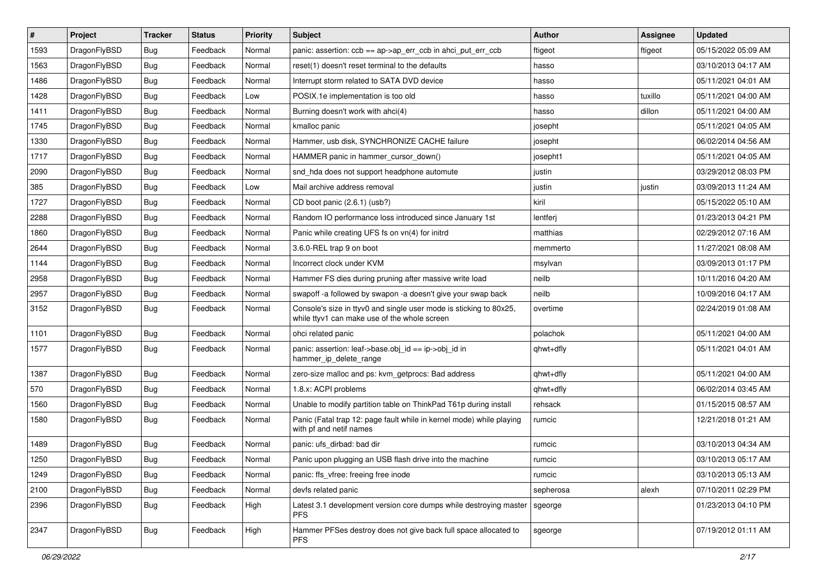| $\vert$ # | Project      | <b>Tracker</b> | <b>Status</b> | <b>Priority</b> | <b>Subject</b>                                                                                                     | <b>Author</b> | Assignee | <b>Updated</b>      |
|-----------|--------------|----------------|---------------|-----------------|--------------------------------------------------------------------------------------------------------------------|---------------|----------|---------------------|
| 1593      | DragonFlyBSD | <b>Bug</b>     | Feedback      | Normal          | panic: assertion: $ccb == ap$ ->ap_err_ccb in ahci_put_err_ccb                                                     | ftigeot       | ftigeot  | 05/15/2022 05:09 AM |
| 1563      | DragonFlyBSD | <b>Bug</b>     | Feedback      | Normal          | reset(1) doesn't reset terminal to the defaults                                                                    | hasso         |          | 03/10/2013 04:17 AM |
| 1486      | DragonFlyBSD | <b>Bug</b>     | Feedback      | Normal          | Interrupt storm related to SATA DVD device                                                                         | hasso         |          | 05/11/2021 04:01 AM |
| 1428      | DragonFlyBSD | <b>Bug</b>     | Feedback      | Low             | POSIX.1e implementation is too old                                                                                 | hasso         | tuxillo  | 05/11/2021 04:00 AM |
| 1411      | DragonFlyBSD | <b>Bug</b>     | Feedback      | Normal          | Burning doesn't work with ahci(4)                                                                                  | hasso         | dillon   | 05/11/2021 04:00 AM |
| 1745      | DragonFlyBSD | <b>Bug</b>     | Feedback      | Normal          | kmalloc panic                                                                                                      | josepht       |          | 05/11/2021 04:05 AM |
| 1330      | DragonFlyBSD | Bug            | Feedback      | Normal          | Hammer, usb disk, SYNCHRONIZE CACHE failure                                                                        | josepht       |          | 06/02/2014 04:56 AM |
| 1717      | DragonFlyBSD | <b>Bug</b>     | Feedback      | Normal          | HAMMER panic in hammer cursor down()                                                                               | josepht1      |          | 05/11/2021 04:05 AM |
| 2090      | DragonFlyBSD | <b>Bug</b>     | Feedback      | Normal          | snd_hda does not support headphone automute                                                                        | justin        |          | 03/29/2012 08:03 PM |
| 385       | DragonFlyBSD | <b>Bug</b>     | Feedback      | Low             | Mail archive address removal                                                                                       | justin        | justin   | 03/09/2013 11:24 AM |
| 1727      | DragonFlyBSD | Bug            | Feedback      | Normal          | CD boot panic (2.6.1) (usb?)                                                                                       | kiril         |          | 05/15/2022 05:10 AM |
| 2288      | DragonFlyBSD | Bug            | Feedback      | Normal          | Random IO performance loss introduced since January 1st                                                            | lentferj      |          | 01/23/2013 04:21 PM |
| 1860      | DragonFlyBSD | Bug            | Feedback      | Normal          | Panic while creating UFS fs on vn(4) for initrd                                                                    | matthias      |          | 02/29/2012 07:16 AM |
| 2644      | DragonFlyBSD | Bug            | Feedback      | Normal          | 3.6.0-REL trap 9 on boot                                                                                           | memmerto      |          | 11/27/2021 08:08 AM |
| 1144      | DragonFlyBSD | <b>Bug</b>     | Feedback      | Normal          | Incorrect clock under KVM                                                                                          | msylvan       |          | 03/09/2013 01:17 PM |
| 2958      | DragonFlyBSD | <b>Bug</b>     | Feedback      | Normal          | Hammer FS dies during pruning after massive write load                                                             | neilb         |          | 10/11/2016 04:20 AM |
| 2957      | DragonFlyBSD | Bug            | Feedback      | Normal          | swapoff -a followed by swapon -a doesn't give your swap back                                                       | neilb         |          | 10/09/2016 04:17 AM |
| 3152      | DragonFlyBSD | Bug            | Feedback      | Normal          | Console's size in ttyv0 and single user mode is sticking to 80x25,<br>while ttyv1 can make use of the whole screen | overtime      |          | 02/24/2019 01:08 AM |
| 1101      | DragonFlyBSD | Bug            | Feedback      | Normal          | ohci related panic                                                                                                 | polachok      |          | 05/11/2021 04:00 AM |
| 1577      | DragonFlyBSD | <b>Bug</b>     | Feedback      | Normal          | panic: assertion: leaf->base.obj_id == ip->obj_id in<br>hammer_ip_delete_range                                     | qhwt+dfly     |          | 05/11/2021 04:01 AM |
| 1387      | DragonFlyBSD | <b>Bug</b>     | Feedback      | Normal          | zero-size malloc and ps: kvm_getprocs: Bad address                                                                 | qhwt+dfly     |          | 05/11/2021 04:00 AM |
| 570       | DragonFlyBSD | <b>Bug</b>     | Feedback      | Normal          | 1.8.x: ACPI problems                                                                                               | qhwt+dfly     |          | 06/02/2014 03:45 AM |
| 1560      | DragonFlyBSD | Bug            | Feedback      | Normal          | Unable to modify partition table on ThinkPad T61p during install                                                   | rehsack       |          | 01/15/2015 08:57 AM |
| 1580      | DragonFlyBSD | Bug            | Feedback      | Normal          | Panic (Fatal trap 12: page fault while in kernel mode) while playing<br>with pf and netif names                    | rumcic        |          | 12/21/2018 01:21 AM |
| 1489      | DragonFlyBSD | Bug            | Feedback      | Normal          | panic: ufs dirbad: bad dir                                                                                         | rumcic        |          | 03/10/2013 04:34 AM |
| 1250      | DragonFlyBSD | Bug            | Feedback      | Normal          | Panic upon plugging an USB flash drive into the machine                                                            | rumcic        |          | 03/10/2013 05:17 AM |
| 1249      | DragonFlyBSD | Bug            | Feedback      | Normal          | panic: ffs vfree: freeing free inode                                                                               | rumcic        |          | 03/10/2013 05:13 AM |
| 2100      | DragonFlyBSD | <b>Bug</b>     | Feedback      | Normal          | devfs related panic                                                                                                | sepherosa     | alexh    | 07/10/2011 02:29 PM |
| 2396      | DragonFlyBSD | <b>Bug</b>     | Feedback      | High            | Latest 3.1 development version core dumps while destroying master<br>PFS.                                          | sgeorge       |          | 01/23/2013 04:10 PM |
| 2347      | DragonFlyBSD | <b>Bug</b>     | Feedback      | High            | Hammer PFSes destroy does not give back full space allocated to<br>PFS.                                            | sgeorge       |          | 07/19/2012 01:11 AM |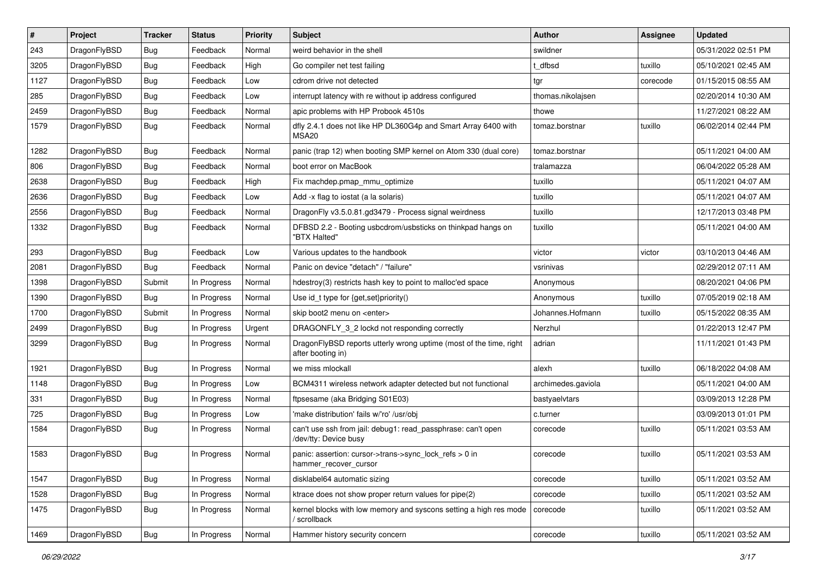| $\#$ | Project      | <b>Tracker</b> | <b>Status</b> | <b>Priority</b> | <b>Subject</b>                                                                          | <b>Author</b>      | <b>Assignee</b> | <b>Updated</b>      |
|------|--------------|----------------|---------------|-----------------|-----------------------------------------------------------------------------------------|--------------------|-----------------|---------------------|
| 243  | DragonFlyBSD | Bug            | Feedback      | Normal          | weird behavior in the shell                                                             | swildner           |                 | 05/31/2022 02:51 PM |
| 3205 | DragonFlyBSD | Bug            | Feedback      | High            | Go compiler net test failing                                                            | t dfbsd            | tuxillo         | 05/10/2021 02:45 AM |
| 1127 | DragonFlyBSD | <b>Bug</b>     | Feedback      | Low             | cdrom drive not detected                                                                | tgr                | corecode        | 01/15/2015 08:55 AM |
| 285  | DragonFlyBSD | <b>Bug</b>     | Feedback      | Low             | interrupt latency with re without ip address configured                                 | thomas.nikolajsen  |                 | 02/20/2014 10:30 AM |
| 2459 | DragonFlyBSD | Bug            | Feedback      | Normal          | apic problems with HP Probook 4510s                                                     | thowe              |                 | 11/27/2021 08:22 AM |
| 1579 | DragonFlyBSD | <b>Bug</b>     | Feedback      | Normal          | dfly 2.4.1 does not like HP DL360G4p and Smart Array 6400 with<br>MSA <sub>20</sub>     | tomaz.borstnar     | tuxillo         | 06/02/2014 02:44 PM |
| 1282 | DragonFlyBSD | Bug            | Feedback      | Normal          | panic (trap 12) when booting SMP kernel on Atom 330 (dual core)                         | tomaz.borstnar     |                 | 05/11/2021 04:00 AM |
| 806  | DragonFlyBSD | <b>Bug</b>     | Feedback      | Normal          | boot error on MacBook                                                                   | tralamazza         |                 | 06/04/2022 05:28 AM |
| 2638 | DragonFlyBSD | <b>Bug</b>     | Feedback      | High            | Fix machdep.pmap_mmu_optimize                                                           | tuxillo            |                 | 05/11/2021 04:07 AM |
| 2636 | DragonFlyBSD | <b>Bug</b>     | Feedback      | Low             | Add -x flag to iostat (a la solaris)                                                    | tuxillo            |                 | 05/11/2021 04:07 AM |
| 2556 | DragonFlyBSD | <b>Bug</b>     | Feedback      | Normal          | DragonFly v3.5.0.81.gd3479 - Process signal weirdness                                   | tuxillo            |                 | 12/17/2013 03:48 PM |
| 1332 | DragonFlyBSD | Bug            | Feedback      | Normal          | DFBSD 2.2 - Booting usbcdrom/usbsticks on thinkpad hangs on<br>"BTX Halted"             | tuxillo            |                 | 05/11/2021 04:00 AM |
| 293  | DragonFlyBSD | Bug            | Feedback      | Low             | Various updates to the handbook                                                         | victor             | victor          | 03/10/2013 04:46 AM |
| 2081 | DragonFlyBSD | <b>Bug</b>     | Feedback      | Normal          | Panic on device "detach" / "failure"                                                    | vsrinivas          |                 | 02/29/2012 07:11 AM |
| 1398 | DragonFlyBSD | Submit         | In Progress   | Normal          | hdestroy(3) restricts hash key to point to malloc'ed space                              | Anonymous          |                 | 08/20/2021 04:06 PM |
| 1390 | DragonFlyBSD | Bug            | In Progress   | Normal          | Use id_t type for {get,set}priority()                                                   | Anonymous          | tuxillo         | 07/05/2019 02:18 AM |
| 1700 | DragonFlyBSD | Submit         | In Progress   | Normal          | skip boot2 menu on <enter></enter>                                                      | Johannes.Hofmann   | tuxillo         | 05/15/2022 08:35 AM |
| 2499 | DragonFlyBSD | Bug            | In Progress   | Urgent          | DRAGONFLY_3_2 lockd not responding correctly                                            | Nerzhul            |                 | 01/22/2013 12:47 PM |
| 3299 | DragonFlyBSD | <b>Bug</b>     | In Progress   | Normal          | DragonFlyBSD reports utterly wrong uptime (most of the time, right<br>after booting in) | adrian             |                 | 11/11/2021 01:43 PM |
| 1921 | DragonFlyBSD | Bug            | In Progress   | Normal          | we miss mlockall                                                                        | alexh              | tuxillo         | 06/18/2022 04:08 AM |
| 1148 | DragonFlyBSD | <b>Bug</b>     | In Progress   | Low             | BCM4311 wireless network adapter detected but not functional                            | archimedes.gaviola |                 | 05/11/2021 04:00 AM |
| 331  | DragonFlyBSD | <b>Bug</b>     | In Progress   | Normal          | ftpsesame (aka Bridging S01E03)                                                         | bastyaelvtars      |                 | 03/09/2013 12:28 PM |
| 725  | DragonFlyBSD | Bug            | In Progress   | Low             | 'make distribution' fails w/'ro' /usr/obj                                               | c.turner           |                 | 03/09/2013 01:01 PM |
| 1584 | DragonFlyBSD | <b>Bug</b>     | In Progress   | Normal          | can't use ssh from jail: debug1: read_passphrase: can't open<br>/dev/tty: Device busy   | corecode           | tuxillo         | 05/11/2021 03:53 AM |
| 1583 | DragonFlyBSD | Bug            | In Progress   | Normal          | panic: assertion: cursor->trans->sync_lock_refs > 0 in<br>hammer_recover_cursor         | corecode           | tuxillo         | 05/11/2021 03:53 AM |
| 1547 | DragonFlyBSD | Bug            | In Progress   | Normal          | disklabel64 automatic sizing                                                            | corecode           | tuxillo         | 05/11/2021 03:52 AM |
| 1528 | DragonFlyBSD | <b>Bug</b>     | In Progress   | Normal          | ktrace does not show proper return values for pipe(2)                                   | corecode           | tuxillo         | 05/11/2021 03:52 AM |
| 1475 | DragonFlyBSD | Bug            | In Progress   | Normal          | kernel blocks with low memory and syscons setting a high res mode<br>/ scrollback       | corecode           | tuxillo         | 05/11/2021 03:52 AM |
| 1469 | DragonFlyBSD | <b>Bug</b>     | In Progress   | Normal          | Hammer history security concern                                                         | corecode           | tuxillo         | 05/11/2021 03:52 AM |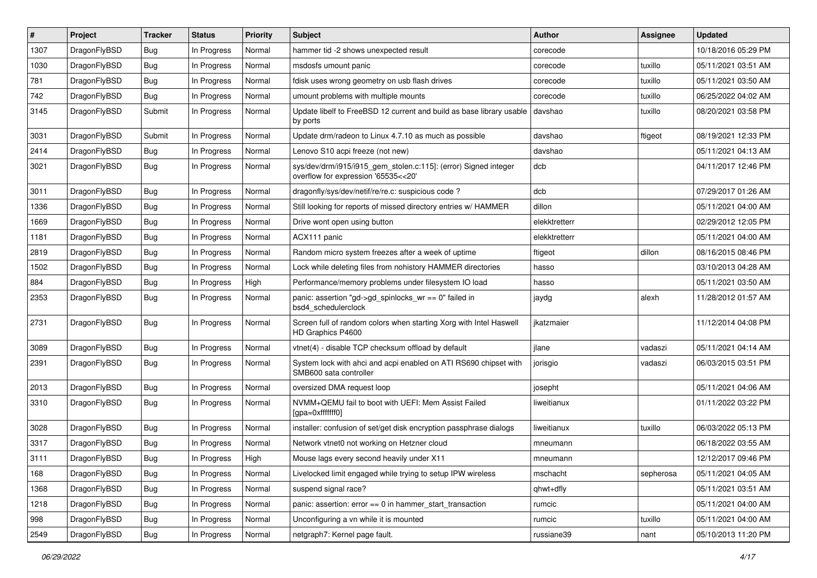| #    | Project      | <b>Tracker</b> | <b>Status</b> | <b>Priority</b> | <b>Subject</b>                                                                                         | Author        | Assignee  | <b>Updated</b>      |
|------|--------------|----------------|---------------|-----------------|--------------------------------------------------------------------------------------------------------|---------------|-----------|---------------------|
| 1307 | DragonFlyBSD | <b>Bug</b>     | In Progress   | Normal          | hammer tid -2 shows unexpected result                                                                  | corecode      |           | 10/18/2016 05:29 PM |
| 1030 | DragonFlyBSD | <b>Bug</b>     | In Progress   | Normal          | msdosfs umount panic                                                                                   | corecode      | tuxillo   | 05/11/2021 03:51 AM |
| 781  | DragonFlyBSD | <b>Bug</b>     | In Progress   | Normal          | fdisk uses wrong geometry on usb flash drives                                                          | corecode      | tuxillo   | 05/11/2021 03:50 AM |
| 742  | DragonFlyBSD | Bug            | In Progress   | Normal          | umount problems with multiple mounts                                                                   | corecode      | tuxillo   | 06/25/2022 04:02 AM |
| 3145 | DragonFlyBSD | Submit         | In Progress   | Normal          | Update libelf to FreeBSD 12 current and build as base library usable<br>by ports                       | davshao       | tuxillo   | 08/20/2021 03:58 PM |
| 3031 | DragonFlyBSD | Submit         | In Progress   | Normal          | Update drm/radeon to Linux 4.7.10 as much as possible                                                  | davshao       | ftigeot   | 08/19/2021 12:33 PM |
| 2414 | DragonFlyBSD | <b>Bug</b>     | In Progress   | Normal          | Lenovo S10 acpi freeze (not new)                                                                       | davshao       |           | 05/11/2021 04:13 AM |
| 3021 | DragonFlyBSD | Bug            | In Progress   | Normal          | sys/dev/drm/i915/i915_gem_stolen.c:115]: (error) Signed integer<br>overflow for expression '65535<<20' | dcb           |           | 04/11/2017 12:46 PM |
| 3011 | DragonFlyBSD | <b>Bug</b>     | In Progress   | Normal          | dragonfly/sys/dev/netif/re/re.c: suspicious code?                                                      | dcb           |           | 07/29/2017 01:26 AM |
| 1336 | DragonFlyBSD | Bug            | In Progress   | Normal          | Still looking for reports of missed directory entries w/ HAMMER                                        | dillon        |           | 05/11/2021 04:00 AM |
| 1669 | DragonFlyBSD | <b>Bug</b>     | In Progress   | Normal          | Drive wont open using button                                                                           | elekktretterr |           | 02/29/2012 12:05 PM |
| 1181 | DragonFlyBSD | <b>Bug</b>     | In Progress   | Normal          | ACX111 panic                                                                                           | elekktretterr |           | 05/11/2021 04:00 AM |
| 2819 | DragonFlyBSD | Bug            | In Progress   | Normal          | Random micro system freezes after a week of uptime                                                     | ftigeot       | dillon    | 08/16/2015 08:46 PM |
| 1502 | DragonFlyBSD | <b>Bug</b>     | In Progress   | Normal          | Lock while deleting files from nohistory HAMMER directories                                            | hasso         |           | 03/10/2013 04:28 AM |
| 884  | DragonFlyBSD | Bug            | In Progress   | High            | Performance/memory problems under filesystem IO load                                                   | hasso         |           | 05/11/2021 03:50 AM |
| 2353 | DragonFlyBSD | Bug            | In Progress   | Normal          | panic: assertion "gd->gd_spinlocks_wr == 0" failed in<br>bsd4 schedulerclock                           | jaydg         | alexh     | 11/28/2012 01:57 AM |
| 2731 | DragonFlyBSD | Bug            | In Progress   | Normal          | Screen full of random colors when starting Xorg with Intel Haswell<br>HD Graphics P4600                | jkatzmaier    |           | 11/12/2014 04:08 PM |
| 3089 | DragonFlyBSD | <b>Bug</b>     | In Progress   | Normal          | vtnet(4) - disable TCP checksum offload by default                                                     | jlane         | vadaszi   | 05/11/2021 04:14 AM |
| 2391 | DragonFlyBSD | <b>Bug</b>     | In Progress   | Normal          | System lock with ahci and acpi enabled on ATI RS690 chipset with<br>SMB600 sata controller             | jorisgio      | vadaszi   | 06/03/2015 03:51 PM |
| 2013 | DragonFlyBSD | <b>Bug</b>     | In Progress   | Normal          | oversized DMA request loop                                                                             | josepht       |           | 05/11/2021 04:06 AM |
| 3310 | DragonFlyBSD | Bug            | In Progress   | Normal          | NVMM+QEMU fail to boot with UEFI: Mem Assist Failed<br>[gpa=0xfffffff0]                                | liweitianux   |           | 01/11/2022 03:22 PM |
| 3028 | DragonFlyBSD | Bug            | In Progress   | Normal          | installer: confusion of set/get disk encryption passphrase dialogs                                     | liweitianux   | tuxillo   | 06/03/2022 05:13 PM |
| 3317 | DragonFlyBSD | <b>Bug</b>     | In Progress   | Normal          | Network vtnet0 not working on Hetzner cloud                                                            | mneumann      |           | 06/18/2022 03:55 AM |
| 3111 | DragonFlyBSD | Bug            | In Progress   | High            | Mouse lags every second heavily under X11                                                              | mneumann      |           | 12/12/2017 09:46 PM |
| 168  | DragonFlyBSD | Bug            | In Progress   | Normal          | Livelocked limit engaged while trying to setup IPW wireless                                            | mschacht      | sepherosa | 05/11/2021 04:05 AM |
| 1368 | DragonFlyBSD | <b>Bug</b>     | In Progress   | Normal          | suspend signal race?                                                                                   | qhwt+dfly     |           | 05/11/2021 03:51 AM |
| 1218 | DragonFlyBSD | <b>Bug</b>     | In Progress   | Normal          | panic: assertion: error == 0 in hammer_start_transaction                                               | rumcic        |           | 05/11/2021 04:00 AM |
| 998  | DragonFlyBSD | Bug            | In Progress   | Normal          | Unconfiguring a vn while it is mounted                                                                 | rumcic        | tuxillo   | 05/11/2021 04:00 AM |
| 2549 | DragonFlyBSD | <b>Bug</b>     | In Progress   | Normal          | netgraph7: Kernel page fault.                                                                          | russiane39    | nant      | 05/10/2013 11:20 PM |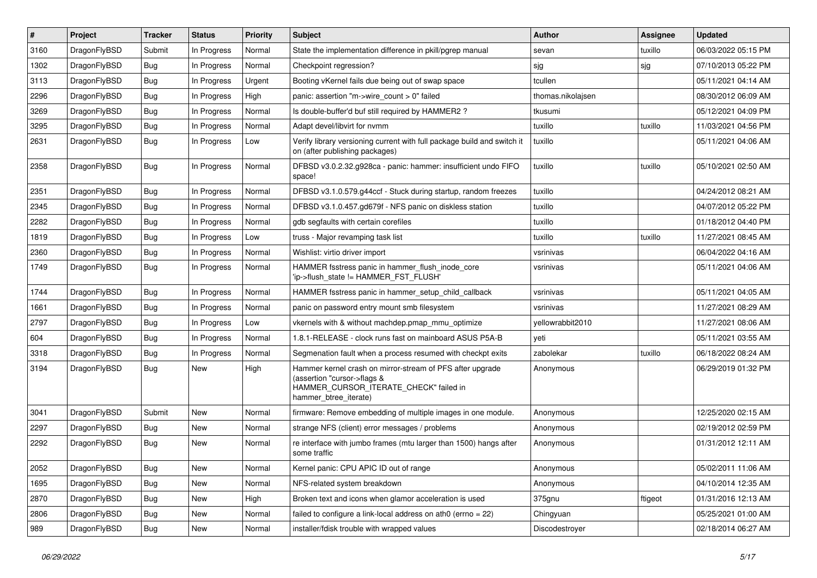| $\vert$ # | Project      | <b>Tracker</b> | <b>Status</b> | <b>Priority</b> | <b>Subject</b>                                                                                                                                              | <b>Author</b>     | <b>Assignee</b> | <b>Updated</b>      |
|-----------|--------------|----------------|---------------|-----------------|-------------------------------------------------------------------------------------------------------------------------------------------------------------|-------------------|-----------------|---------------------|
| 3160      | DragonFlyBSD | Submit         | In Progress   | Normal          | State the implementation difference in pkill/pgrep manual                                                                                                   | sevan             | tuxillo         | 06/03/2022 05:15 PM |
| 1302      | DragonFlyBSD | <b>Bug</b>     | In Progress   | Normal          | Checkpoint regression?                                                                                                                                      | sjg               | sjg             | 07/10/2013 05:22 PM |
| 3113      | DragonFlyBSD | <b>Bug</b>     | In Progress   | Urgent          | Booting vKernel fails due being out of swap space                                                                                                           | tcullen           |                 | 05/11/2021 04:14 AM |
| 2296      | DragonFlyBSD | Bug            | In Progress   | High            | panic: assertion "m->wire count > 0" failed                                                                                                                 | thomas.nikolajsen |                 | 08/30/2012 06:09 AM |
| 3269      | DragonFlyBSD | <b>Bug</b>     | In Progress   | Normal          | Is double-buffer'd buf still required by HAMMER2 ?                                                                                                          | tkusumi           |                 | 05/12/2021 04:09 PM |
| 3295      | DragonFlyBSD | <b>Bug</b>     | In Progress   | Normal          | Adapt devel/libvirt for nvmm                                                                                                                                | tuxillo           | tuxillo         | 11/03/2021 04:56 PM |
| 2631      | DragonFlyBSD | Bug            | In Progress   | Low             | Verify library versioning current with full package build and switch it<br>on (after publishing packages)                                                   | tuxillo           |                 | 05/11/2021 04:06 AM |
| 2358      | DragonFlyBSD | Bug            | In Progress   | Normal          | DFBSD v3.0.2.32.g928ca - panic: hammer: insufficient undo FIFO<br>space!                                                                                    | tuxillo           | tuxillo         | 05/10/2021 02:50 AM |
| 2351      | DragonFlyBSD | <b>Bug</b>     | In Progress   | Normal          | DFBSD v3.1.0.579.g44ccf - Stuck during startup, random freezes                                                                                              | tuxillo           |                 | 04/24/2012 08:21 AM |
| 2345      | DragonFlyBSD | Bug            | In Progress   | Normal          | DFBSD v3.1.0.457.gd679f - NFS panic on diskless station                                                                                                     | tuxillo           |                 | 04/07/2012 05:22 PM |
| 2282      | DragonFlyBSD | <b>Bug</b>     | In Progress   | Normal          | gdb segfaults with certain corefiles                                                                                                                        | tuxillo           |                 | 01/18/2012 04:40 PM |
| 1819      | DragonFlyBSD | Bug            | In Progress   | Low             | truss - Major revamping task list                                                                                                                           | tuxillo           | tuxillo         | 11/27/2021 08:45 AM |
| 2360      | DragonFlyBSD | Bug            | In Progress   | Normal          | Wishlist: virtio driver import                                                                                                                              | vsrinivas         |                 | 06/04/2022 04:16 AM |
| 1749      | DragonFlyBSD | <b>Bug</b>     | In Progress   | Normal          | HAMMER fsstress panic in hammer flush inode core<br>'ip->flush state != HAMMER FST FLUSH'                                                                   | vsrinivas         |                 | 05/11/2021 04:06 AM |
| 1744      | DragonFlyBSD | <b>Bug</b>     | In Progress   | Normal          | HAMMER fsstress panic in hammer_setup_child_callback                                                                                                        | vsrinivas         |                 | 05/11/2021 04:05 AM |
| 1661      | DragonFlyBSD | <b>Bug</b>     | In Progress   | Normal          | panic on password entry mount smb filesystem                                                                                                                | vsrinivas         |                 | 11/27/2021 08:29 AM |
| 2797      | DragonFlyBSD | Bug            | In Progress   | Low             | vkernels with & without machdep.pmap_mmu_optimize                                                                                                           | yellowrabbit2010  |                 | 11/27/2021 08:06 AM |
| 604       | DragonFlyBSD | <b>Bug</b>     | In Progress   | Normal          | 1.8.1-RELEASE - clock runs fast on mainboard ASUS P5A-B                                                                                                     | yeti              |                 | 05/11/2021 03:55 AM |
| 3318      | DragonFlyBSD | <b>Bug</b>     | In Progress   | Normal          | Segmenation fault when a process resumed with checkpt exits                                                                                                 | zabolekar         | tuxillo         | 06/18/2022 08:24 AM |
| 3194      | DragonFlyBSD | Bug            | New           | High            | Hammer kernel crash on mirror-stream of PFS after upgrade<br>(assertion "cursor->flags &<br>HAMMER_CURSOR_ITERATE_CHECK" failed in<br>hammer_btree_iterate) | Anonymous         |                 | 06/29/2019 01:32 PM |
| 3041      | DragonFlyBSD | Submit         | <b>New</b>    | Normal          | firmware: Remove embedding of multiple images in one module.                                                                                                | Anonymous         |                 | 12/25/2020 02:15 AM |
| 2297      | DragonFlyBSD | Bug            | <b>New</b>    | Normal          | strange NFS (client) error messages / problems                                                                                                              | Anonymous         |                 | 02/19/2012 02:59 PM |
| 2292      | DragonFlyBSD | <b>Bug</b>     | <b>New</b>    | Normal          | re interface with jumbo frames (mtu larger than 1500) hangs after<br>some traffic                                                                           | Anonymous         |                 | 01/31/2012 12:11 AM |
| 2052      | DragonFlyBSD | <b>Bug</b>     | New           | Normal          | Kernel panic: CPU APIC ID out of range                                                                                                                      | Anonymous         |                 | 05/02/2011 11:06 AM |
| 1695      | DragonFlyBSD | <b>Bug</b>     | New           | Normal          | NFS-related system breakdown                                                                                                                                | Anonymous         |                 | 04/10/2014 12:35 AM |
| 2870      | DragonFlyBSD | <b>Bug</b>     | New           | High            | Broken text and icons when glamor acceleration is used                                                                                                      | 375gnu            | ftigeot         | 01/31/2016 12:13 AM |
| 2806      | DragonFlyBSD | <b>Bug</b>     | New           | Normal          | failed to configure a link-local address on ath0 (errno $= 22$ )                                                                                            | Chingyuan         |                 | 05/25/2021 01:00 AM |
| 989       | DragonFlyBSD | <b>Bug</b>     | New           | Normal          | installer/fdisk trouble with wrapped values                                                                                                                 | Discodestroyer    |                 | 02/18/2014 06:27 AM |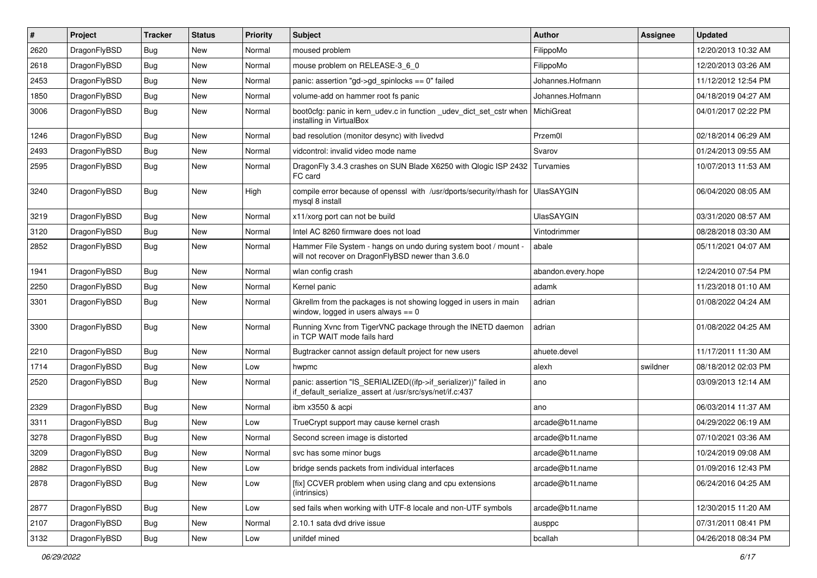| #    | Project      | <b>Tracker</b> | <b>Status</b> | <b>Priority</b> | Subject                                                                                                                      | Author             | Assignee | <b>Updated</b>      |
|------|--------------|----------------|---------------|-----------------|------------------------------------------------------------------------------------------------------------------------------|--------------------|----------|---------------------|
| 2620 | DragonFlyBSD | <b>Bug</b>     | New           | Normal          | moused problem                                                                                                               | FilippoMo          |          | 12/20/2013 10:32 AM |
| 2618 | DragonFlyBSD | <b>Bug</b>     | New           | Normal          | mouse problem on RELEASE-3_6_0                                                                                               | FilippoMo          |          | 12/20/2013 03:26 AM |
| 2453 | DragonFlyBSD | <b>Bug</b>     | New           | Normal          | panic: assertion "gd->gd_spinlocks == 0" failed                                                                              | Johannes.Hofmann   |          | 11/12/2012 12:54 PM |
| 1850 | DragonFlyBSD | <b>Bug</b>     | New           | Normal          | volume-add on hammer root fs panic                                                                                           | Johannes.Hofmann   |          | 04/18/2019 04:27 AM |
| 3006 | DragonFlyBSD | <b>Bug</b>     | New           | Normal          | boot0cfg: panic in kern_udev.c in function _udev_dict_set_cstr when<br>installing in VirtualBox                              | MichiGreat         |          | 04/01/2017 02:22 PM |
| 1246 | DragonFlyBSD | <b>Bug</b>     | <b>New</b>    | Normal          | bad resolution (monitor desync) with livedvd                                                                                 | Przem0l            |          | 02/18/2014 06:29 AM |
| 2493 | DragonFlyBSD | <b>Bug</b>     | <b>New</b>    | Normal          | vidcontrol: invalid video mode name                                                                                          | Svarov             |          | 01/24/2013 09:55 AM |
| 2595 | DragonFlyBSD | <b>Bug</b>     | New           | Normal          | DragonFly 3.4.3 crashes on SUN Blade X6250 with Qlogic ISP 2432<br>FC card                                                   | Turvamies          |          | 10/07/2013 11:53 AM |
| 3240 | DragonFlyBSD | <b>Bug</b>     | New           | High            | compile error because of openssl with /usr/dports/security/rhash for<br>mysql 8 install                                      | <b>UlasSAYGIN</b>  |          | 06/04/2020 08:05 AM |
| 3219 | DragonFlyBSD | <b>Bug</b>     | New           | Normal          | x11/xorg port can not be build                                                                                               | <b>UlasSAYGIN</b>  |          | 03/31/2020 08:57 AM |
| 3120 | DragonFlyBSD | <b>Bug</b>     | New           | Normal          | Intel AC 8260 firmware does not load                                                                                         | Vintodrimmer       |          | 08/28/2018 03:30 AM |
| 2852 | DragonFlyBSD | Bug            | New           | Normal          | Hammer File System - hangs on undo during system boot / mount -<br>will not recover on DragonFlyBSD newer than 3.6.0         | abale              |          | 05/11/2021 04:07 AM |
| 1941 | DragonFlyBSD | <b>Bug</b>     | New           | Normal          | wlan config crash                                                                                                            | abandon.every.hope |          | 12/24/2010 07:54 PM |
| 2250 | DragonFlyBSD | <b>Bug</b>     | New           | Normal          | Kernel panic                                                                                                                 | adamk              |          | 11/23/2018 01:10 AM |
| 3301 | DragonFlyBSD | <b>Bug</b>     | <b>New</b>    | Normal          | Gkrellm from the packages is not showing logged in users in main<br>window, logged in users always $== 0$                    | adrian             |          | 01/08/2022 04:24 AM |
| 3300 | DragonFlyBSD | <b>Bug</b>     | New           | Normal          | Running Xvnc from TigerVNC package through the INETD daemon<br>in TCP WAIT mode fails hard                                   | adrian             |          | 01/08/2022 04:25 AM |
| 2210 | DragonFlyBSD | <b>Bug</b>     | <b>New</b>    | Normal          | Bugtracker cannot assign default project for new users                                                                       | ahuete.devel       |          | 11/17/2011 11:30 AM |
| 1714 | DragonFlyBSD | <b>Bug</b>     | New           | Low             | hwpmc                                                                                                                        | alexh              | swildner | 08/18/2012 02:03 PM |
| 2520 | DragonFlyBSD | <b>Bug</b>     | <b>New</b>    | Normal          | panic: assertion "IS_SERIALIZED((ifp->if_serializer))" failed in<br>if_default_serialize_assert at /usr/src/sys/net/if.c:437 | ano                |          | 03/09/2013 12:14 AM |
| 2329 | DragonFlyBSD | <b>Bug</b>     | <b>New</b>    | Normal          | ibm x3550 & acpi                                                                                                             | ano                |          | 06/03/2014 11:37 AM |
| 3311 | DragonFlyBSD | <b>Bug</b>     | <b>New</b>    | Low             | TrueCrypt support may cause kernel crash                                                                                     | arcade@b1t.name    |          | 04/29/2022 06:19 AM |
| 3278 | DragonFlyBSD | <b>Bug</b>     | New           | Normal          | Second screen image is distorted                                                                                             | arcade@b1t.name    |          | 07/10/2021 03:36 AM |
| 3209 | DragonFlyBSD | <b>Bug</b>     | New           | Normal          | svc has some minor bugs                                                                                                      | arcade@b1t.name    |          | 10/24/2019 09:08 AM |
| 2882 | DragonFlyBSD | <b>Bug</b>     | New           | Low             | bridge sends packets from individual interfaces                                                                              | arcade@b1t.name    |          | 01/09/2016 12:43 PM |
| 2878 | DragonFlyBSD | <b>Bug</b>     | New           | Low             | [fix] CCVER problem when using clang and cpu extensions<br>(intrinsics)                                                      | arcade@b1t.name    |          | 06/24/2016 04:25 AM |
| 2877 | DragonFlyBSD | <b>Bug</b>     | New           | Low             | sed fails when working with UTF-8 locale and non-UTF symbols                                                                 | arcade@b1t.name    |          | 12/30/2015 11:20 AM |
| 2107 | DragonFlyBSD | <b>Bug</b>     | New           | Normal          | 2.10.1 sata dvd drive issue                                                                                                  | ausppc             |          | 07/31/2011 08:41 PM |
| 3132 | DragonFlyBSD | Bug            | New           | Low             | unifdef mined                                                                                                                | bcallah            |          | 04/26/2018 08:34 PM |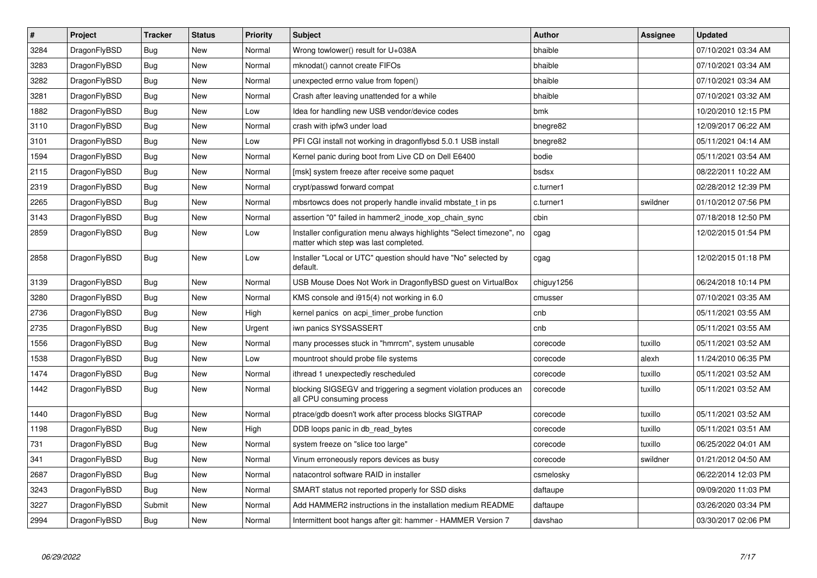| $\vert$ # | Project      | <b>Tracker</b> | <b>Status</b> | Priority | <b>Subject</b>                                                                                                | Author     | Assignee | <b>Updated</b>      |
|-----------|--------------|----------------|---------------|----------|---------------------------------------------------------------------------------------------------------------|------------|----------|---------------------|
| 3284      | DragonFlyBSD | <b>Bug</b>     | New           | Normal   | Wrong towlower() result for U+038A                                                                            | bhaible    |          | 07/10/2021 03:34 AM |
| 3283      | DragonFlyBSD | <b>Bug</b>     | <b>New</b>    | Normal   | mknodat() cannot create FIFOs                                                                                 | bhaible    |          | 07/10/2021 03:34 AM |
| 3282      | DragonFlyBSD | <b>Bug</b>     | <b>New</b>    | Normal   | unexpected errno value from fopen()                                                                           | bhaible    |          | 07/10/2021 03:34 AM |
| 3281      | DragonFlyBSD | Bug            | New           | Normal   | Crash after leaving unattended for a while                                                                    | bhaible    |          | 07/10/2021 03:32 AM |
| 1882      | DragonFlyBSD | <b>Bug</b>     | <b>New</b>    | Low      | Idea for handling new USB vendor/device codes                                                                 | bmk        |          | 10/20/2010 12:15 PM |
| 3110      | DragonFlyBSD | Bug            | <b>New</b>    | Normal   | crash with ipfw3 under load                                                                                   | bnegre82   |          | 12/09/2017 06:22 AM |
| 3101      | DragonFlyBSD | Bug            | <b>New</b>    | Low      | PFI CGI install not working in dragonflybsd 5.0.1 USB install                                                 | bnegre82   |          | 05/11/2021 04:14 AM |
| 1594      | DragonFlyBSD | Bug            | New           | Normal   | Kernel panic during boot from Live CD on Dell E6400                                                           | bodie      |          | 05/11/2021 03:54 AM |
| 2115      | DragonFlyBSD | Bug            | New           | Normal   | [msk] system freeze after receive some paquet                                                                 | bsdsx      |          | 08/22/2011 10:22 AM |
| 2319      | DragonFlyBSD | <b>Bug</b>     | <b>New</b>    | Normal   | crypt/passwd forward compat                                                                                   | c.turner1  |          | 02/28/2012 12:39 PM |
| 2265      | DragonFlyBSD | <b>Bug</b>     | <b>New</b>    | Normal   | mbsrtowcs does not properly handle invalid mbstate t in ps.                                                   | c.turner1  | swildner | 01/10/2012 07:56 PM |
| 3143      | DragonFlyBSD | <b>Bug</b>     | New           | Normal   | assertion "0" failed in hammer2_inode_xop_chain_sync                                                          | cbin       |          | 07/18/2018 12:50 PM |
| 2859      | DragonFlyBSD | Bug            | New           | Low      | Installer configuration menu always highlights "Select timezone", no<br>matter which step was last completed. | cgag       |          | 12/02/2015 01:54 PM |
| 2858      | DragonFlyBSD | <b>Bug</b>     | New           | Low      | Installer "Local or UTC" question should have "No" selected by<br>default.                                    | cgag       |          | 12/02/2015 01:18 PM |
| 3139      | DragonFlyBSD | Bug            | <b>New</b>    | Normal   | USB Mouse Does Not Work in DragonflyBSD guest on VirtualBox                                                   | chiguy1256 |          | 06/24/2018 10:14 PM |
| 3280      | DragonFlyBSD | <b>Bug</b>     | <b>New</b>    | Normal   | KMS console and i915(4) not working in 6.0                                                                    | cmusser    |          | 07/10/2021 03:35 AM |
| 2736      | DragonFlyBSD | Bug            | <b>New</b>    | High     | kernel panics on acpi timer probe function                                                                    | cnb        |          | 05/11/2021 03:55 AM |
| 2735      | DragonFlyBSD | <b>Bug</b>     | New           | Urgent   | iwn panics SYSSASSERT                                                                                         | cnb        |          | 05/11/2021 03:55 AM |
| 1556      | DragonFlyBSD | Bug            | New           | Normal   | many processes stuck in "hmrrcm", system unusable                                                             | corecode   | tuxillo  | 05/11/2021 03:52 AM |
| 1538      | DragonFlyBSD | <b>Bug</b>     | New           | Low      | mountroot should probe file systems                                                                           | corecode   | alexh    | 11/24/2010 06:35 PM |
| 1474      | DragonFlyBSD | Bug            | New           | Normal   | ithread 1 unexpectedly rescheduled                                                                            | corecode   | tuxillo  | 05/11/2021 03:52 AM |
| 1442      | DragonFlyBSD | <b>Bug</b>     | New           | Normal   | blocking SIGSEGV and triggering a segment violation produces an<br>all CPU consuming process                  | corecode   | tuxillo  | 05/11/2021 03:52 AM |
| 1440      | DragonFlyBSD | Bug            | New           | Normal   | ptrace/gdb doesn't work after process blocks SIGTRAP                                                          | corecode   | tuxillo  | 05/11/2021 03:52 AM |
| 1198      | DragonFlyBSD | <b>Bug</b>     | New           | High     | DDB loops panic in db_read_bytes                                                                              | corecode   | tuxillo  | 05/11/2021 03:51 AM |
| 731       | DragonFlyBSD | Bug            | New           | Normal   | system freeze on "slice too large"                                                                            | corecode   | tuxillo  | 06/25/2022 04:01 AM |
| 341       | DragonFlyBSD | <b>Bug</b>     | <b>New</b>    | Normal   | Vinum erroneously repors devices as busy                                                                      | corecode   | swildner | 01/21/2012 04:50 AM |
| 2687      | DragonFlyBSD | Bug            | <b>New</b>    | Normal   | natacontrol software RAID in installer                                                                        | csmelosky  |          | 06/22/2014 12:03 PM |
| 3243      | DragonFlyBSD | Bug            | New           | Normal   | SMART status not reported properly for SSD disks                                                              | daftaupe   |          | 09/09/2020 11:03 PM |
| 3227      | DragonFlyBSD | Submit         | <b>New</b>    | Normal   | Add HAMMER2 instructions in the installation medium README                                                    | daftaupe   |          | 03/26/2020 03:34 PM |
| 2994      | DragonFlyBSD | <b>Bug</b>     | <b>New</b>    | Normal   | Intermittent boot hangs after git: hammer - HAMMER Version 7                                                  | davshao    |          | 03/30/2017 02:06 PM |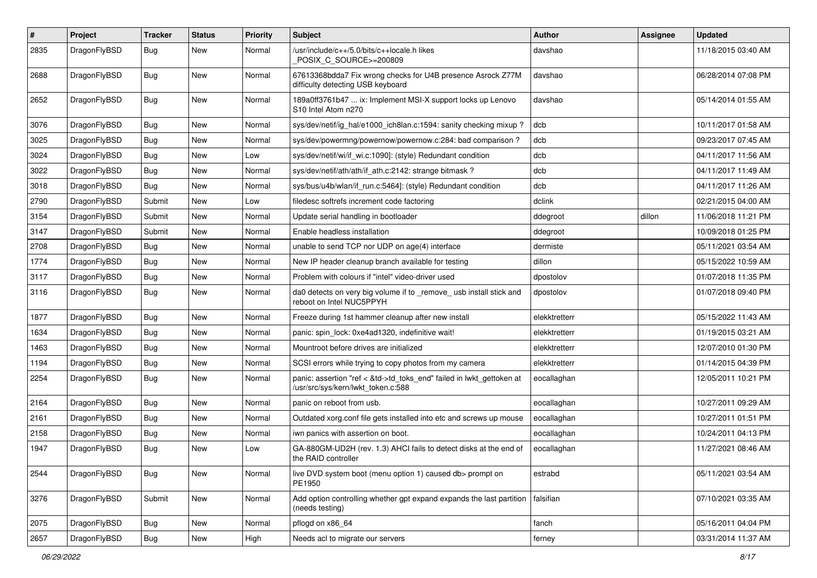| $\vert$ # | Project      | <b>Tracker</b> | <b>Status</b> | <b>Priority</b> | <b>Subject</b>                                                                                             | Author        | <b>Assignee</b> | <b>Updated</b>      |
|-----------|--------------|----------------|---------------|-----------------|------------------------------------------------------------------------------------------------------------|---------------|-----------------|---------------------|
| 2835      | DragonFlyBSD | Bug            | New           | Normal          | /usr/include/c++/5.0/bits/c++locale.h likes<br>POSIX C_SOURCE>=200809                                      | davshao       |                 | 11/18/2015 03:40 AM |
| 2688      | DragonFlyBSD | Bug            | New           | Normal          | 67613368bdda7 Fix wrong checks for U4B presence Asrock Z77M<br>difficulty detecting USB keyboard           | davshao       |                 | 06/28/2014 07:08 PM |
| 2652      | DragonFlyBSD | Bug            | New           | Normal          | 189a0ff3761b47  ix: Implement MSI-X support locks up Lenovo<br>S10 Intel Atom n270                         | davshao       |                 | 05/14/2014 01:55 AM |
| 3076      | DragonFlyBSD | Bug            | <b>New</b>    | Normal          | sys/dev/netif/ig_hal/e1000_ich8lan.c:1594: sanity checking mixup?                                          | dcb           |                 | 10/11/2017 01:58 AM |
| 3025      | DragonFlyBSD | <b>Bug</b>     | New           | Normal          | sys/dev/powermng/powernow/powernow.c:284: bad comparison?                                                  | dcb           |                 | 09/23/2017 07:45 AM |
| 3024      | DragonFlyBSD | <b>Bug</b>     | <b>New</b>    | Low             | sys/dev/netif/wi/if_wi.c:1090]: (style) Redundant condition                                                | dcb           |                 | 04/11/2017 11:56 AM |
| 3022      | DragonFlyBSD | <b>Bug</b>     | <b>New</b>    | Normal          | sys/dev/netif/ath/ath/if_ath.c:2142: strange bitmask?                                                      | dcb           |                 | 04/11/2017 11:49 AM |
| 3018      | DragonFlyBSD | <b>Bug</b>     | New           | Normal          | sys/bus/u4b/wlan/if run.c:5464]: (style) Redundant condition                                               | dcb           |                 | 04/11/2017 11:26 AM |
| 2790      | DragonFlyBSD | Submit         | New           | Low             | filedesc softrefs increment code factoring                                                                 | dclink        |                 | 02/21/2015 04:00 AM |
| 3154      | DragonFlyBSD | Submit         | New           | Normal          | Update serial handling in bootloader                                                                       | ddegroot      | dillon          | 11/06/2018 11:21 PM |
| 3147      | DragonFlyBSD | Submit         | New           | Normal          | Enable headless installation                                                                               | ddegroot      |                 | 10/09/2018 01:25 PM |
| 2708      | DragonFlyBSD | Bug            | <b>New</b>    | Normal          | unable to send TCP nor UDP on age(4) interface                                                             | dermiste      |                 | 05/11/2021 03:54 AM |
| 1774      | DragonFlyBSD | Bug            | New           | Normal          | New IP header cleanup branch available for testing                                                         | dillon        |                 | 05/15/2022 10:59 AM |
| 3117      | DragonFlyBSD | Bug            | New           | Normal          | Problem with colours if "intel" video-driver used                                                          | dpostolov     |                 | 01/07/2018 11:35 PM |
| 3116      | DragonFlyBSD | Bug            | New           | Normal          | da0 detects on very big volume if to _remove_ usb install stick and<br>reboot on Intel NUC5PPYH            | dpostolov     |                 | 01/07/2018 09:40 PM |
| 1877      | DragonFlyBSD | Bug            | <b>New</b>    | Normal          | Freeze during 1st hammer cleanup after new install                                                         | elekktretterr |                 | 05/15/2022 11:43 AM |
| 1634      | DragonFlyBSD | <b>Bug</b>     | New           | Normal          | panic: spin lock: 0xe4ad1320, indefinitive wait!                                                           | elekktretterr |                 | 01/19/2015 03:21 AM |
| 1463      | DragonFlyBSD | Bug            | New           | Normal          | Mountroot before drives are initialized                                                                    | elekktretterr |                 | 12/07/2010 01:30 PM |
| 1194      | DragonFlyBSD | <b>Bug</b>     | New           | Normal          | SCSI errors while trying to copy photos from my camera                                                     | elekktretterr |                 | 01/14/2015 04:39 PM |
| 2254      | DragonFlyBSD | Bug            | New           | Normal          | panic: assertion "ref < &td->td_toks_end" failed in lwkt_gettoken at<br>/usr/src/sys/kern/lwkt_token.c:588 | eocallaghan   |                 | 12/05/2011 10:21 PM |
| 2164      | DragonFlyBSD | <b>Bug</b>     | <b>New</b>    | Normal          | panic on reboot from usb.                                                                                  | eocallaghan   |                 | 10/27/2011 09:29 AM |
| 2161      | DragonFlyBSD | <b>Bug</b>     | New           | Normal          | Outdated xorg.conf file gets installed into etc and screws up mouse                                        | eocallaghan   |                 | 10/27/2011 01:51 PM |
| 2158      | DragonFlyBSD | Bug            | New           | Normal          | iwn panics with assertion on boot.                                                                         | eocallaghan   |                 | 10/24/2011 04:13 PM |
| 1947      | DragonFlyBSD | Bug            | New           | Low             | GA-880GM-UD2H (rev. 1.3) AHCI fails to detect disks at the end of<br>the RAID controller                   | eocallaghan   |                 | 11/27/2021 08:46 AM |
| 2544      | DragonFlyBSD | Bug            | New           | Normal          | live DVD system boot (menu option 1) caused db> prompt on<br>PE1950                                        | estrabd       |                 | 05/11/2021 03:54 AM |
| 3276      | DragonFlyBSD | Submit         | New           | Normal          | Add option controlling whether gpt expand expands the last partition<br>(needs testing)                    | falsifian     |                 | 07/10/2021 03:35 AM |
| 2075      | DragonFlyBSD | Bug            | New           | Normal          | pflogd on x86_64                                                                                           | fanch         |                 | 05/16/2011 04:04 PM |
| 2657      | DragonFlyBSD | <b>Bug</b>     | New           | High            | Needs acl to migrate our servers                                                                           | ferney        |                 | 03/31/2014 11:37 AM |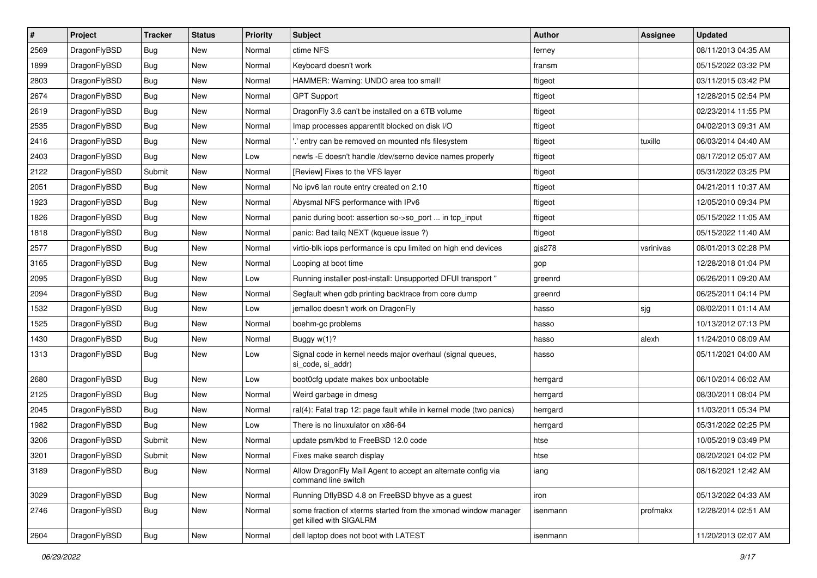| $\sharp$ | Project      | <b>Tracker</b> | <b>Status</b> | <b>Priority</b> | Subject                                                                                   | <b>Author</b> | <b>Assignee</b> | <b>Updated</b>      |
|----------|--------------|----------------|---------------|-----------------|-------------------------------------------------------------------------------------------|---------------|-----------------|---------------------|
| 2569     | DragonFlyBSD | Bug            | New           | Normal          | ctime NFS                                                                                 | ferney        |                 | 08/11/2013 04:35 AM |
| 1899     | DragonFlyBSD | Bug            | <b>New</b>    | Normal          | Keyboard doesn't work                                                                     | fransm        |                 | 05/15/2022 03:32 PM |
| 2803     | DragonFlyBSD | <b>Bug</b>     | <b>New</b>    | Normal          | HAMMER: Warning: UNDO area too small!                                                     | ftigeot       |                 | 03/11/2015 03:42 PM |
| 2674     | DragonFlyBSD | <b>Bug</b>     | New           | Normal          | <b>GPT Support</b>                                                                        | ftigeot       |                 | 12/28/2015 02:54 PM |
| 2619     | DragonFlyBSD | Bug            | <b>New</b>    | Normal          | DragonFly 3.6 can't be installed on a 6TB volume                                          | ftigeot       |                 | 02/23/2014 11:55 PM |
| 2535     | DragonFlyBSD | <b>Bug</b>     | <b>New</b>    | Normal          | Imap processes apparentlt blocked on disk I/O                                             | ftigeot       |                 | 04/02/2013 09:31 AM |
| 2416     | DragonFlyBSD | <b>Bug</b>     | New           | Normal          | ".' entry can be removed on mounted nfs filesystem                                        | ftigeot       | tuxillo         | 06/03/2014 04:40 AM |
| 2403     | DragonFlyBSD | <b>Bug</b>     | <b>New</b>    | Low             | newfs - E doesn't handle /dev/serno device names properly                                 | ftigeot       |                 | 08/17/2012 05:07 AM |
| 2122     | DragonFlyBSD | Submit         | <b>New</b>    | Normal          | [Review] Fixes to the VFS layer                                                           | ftigeot       |                 | 05/31/2022 03:25 PM |
| 2051     | DragonFlyBSD | Bug            | <b>New</b>    | Normal          | No ipv6 lan route entry created on 2.10                                                   | ftigeot       |                 | 04/21/2011 10:37 AM |
| 1923     | DragonFlyBSD | Bug            | New           | Normal          | Abysmal NFS performance with IPv6                                                         | ftigeot       |                 | 12/05/2010 09:34 PM |
| 1826     | DragonFlyBSD | <b>Bug</b>     | New           | Normal          | panic during boot: assertion so->so_port  in tcp_input                                    | ftigeot       |                 | 05/15/2022 11:05 AM |
| 1818     | DragonFlyBSD | <b>Bug</b>     | New           | Normal          | panic: Bad tailq NEXT (kqueue issue ?)                                                    | ftigeot       |                 | 05/15/2022 11:40 AM |
| 2577     | DragonFlyBSD | Bug            | <b>New</b>    | Normal          | virtio-blk iops performance is cpu limited on high end devices                            | gjs278        | vsrinivas       | 08/01/2013 02:28 PM |
| 3165     | DragonFlyBSD | <b>Bug</b>     | <b>New</b>    | Normal          | Looping at boot time                                                                      | gop           |                 | 12/28/2018 01:04 PM |
| 2095     | DragonFlyBSD | <b>Bug</b>     | <b>New</b>    | Low             | Running installer post-install: Unsupported DFUI transport "                              | greenrd       |                 | 06/26/2011 09:20 AM |
| 2094     | DragonFlyBSD | <b>Bug</b>     | New           | Normal          | Segfault when gdb printing backtrace from core dump                                       | greenrd       |                 | 06/25/2011 04:14 PM |
| 1532     | DragonFlyBSD | Bug            | <b>New</b>    | Low             | jemalloc doesn't work on DragonFly                                                        | hasso         | sjg             | 08/02/2011 01:14 AM |
| 1525     | DragonFlyBSD | Bug            | <b>New</b>    | Normal          | boehm-gc problems                                                                         | hasso         |                 | 10/13/2012 07:13 PM |
| 1430     | DragonFlyBSD | Bug            | New           | Normal          | Buggy w(1)?                                                                               | hasso         | alexh           | 11/24/2010 08:09 AM |
| 1313     | DragonFlyBSD | <b>Bug</b>     | <b>New</b>    | Low             | Signal code in kernel needs major overhaul (signal queues,<br>si_code, si_addr)           | hasso         |                 | 05/11/2021 04:00 AM |
| 2680     | DragonFlyBSD | <b>Bug</b>     | <b>New</b>    | Low             | boot0cfg update makes box unbootable                                                      | herrgard      |                 | 06/10/2014 06:02 AM |
| 2125     | DragonFlyBSD | Bug            | New           | Normal          | Weird garbage in dmesg                                                                    | herrgard      |                 | 08/30/2011 08:04 PM |
| 2045     | DragonFlyBSD | <b>Bug</b>     | <b>New</b>    | Normal          | ral(4): Fatal trap 12: page fault while in kernel mode (two panics)                       | herrgard      |                 | 11/03/2011 05:34 PM |
| 1982     | DragonFlyBSD | <b>Bug</b>     | <b>New</b>    | Low             | There is no linuxulator on x86-64                                                         | herrgard      |                 | 05/31/2022 02:25 PM |
| 3206     | DragonFlyBSD | Submit         | <b>New</b>    | Normal          | update psm/kbd to FreeBSD 12.0 code                                                       | htse          |                 | 10/05/2019 03:49 PM |
| 3201     | DragonFlyBSD | Submit         | New           | Normal          | Fixes make search display                                                                 | htse          |                 | 08/20/2021 04:02 PM |
| 3189     | DragonFlyBSD | <b>Bug</b>     | New           | Normal          | Allow DragonFly Mail Agent to accept an alternate config via<br>command line switch       | iang          |                 | 08/16/2021 12:42 AM |
| 3029     | DragonFlyBSD | <b>Bug</b>     | <b>New</b>    | Normal          | Running DflyBSD 4.8 on FreeBSD bhyve as a guest                                           | iron          |                 | 05/13/2022 04:33 AM |
| 2746     | DragonFlyBSD | <b>Bug</b>     | New           | Normal          | some fraction of xterms started from the xmonad window manager<br>get killed with SIGALRM | isenmann      | profmakx        | 12/28/2014 02:51 AM |
| 2604     | DragonFlyBSD | <b>Bug</b>     | New           | Normal          | dell laptop does not boot with LATEST                                                     | isenmann      |                 | 11/20/2013 02:07 AM |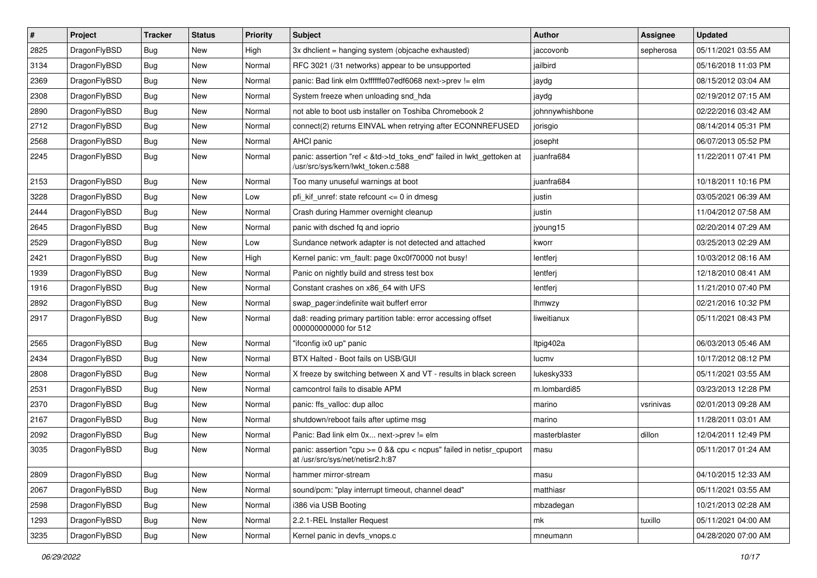| #    | Project      | <b>Tracker</b> | <b>Status</b> | <b>Priority</b> | Subject                                                                                                    | <b>Author</b>   | <b>Assignee</b> | <b>Updated</b>      |
|------|--------------|----------------|---------------|-----------------|------------------------------------------------------------------------------------------------------------|-----------------|-----------------|---------------------|
| 2825 | DragonFlyBSD | <b>Bug</b>     | New           | High            | 3x dhclient = hanging system (objcache exhausted)                                                          | jaccovonb       | sepherosa       | 05/11/2021 03:55 AM |
| 3134 | DragonFlyBSD | <b>Bug</b>     | <b>New</b>    | Normal          | RFC 3021 (/31 networks) appear to be unsupported                                                           | jailbird        |                 | 05/16/2018 11:03 PM |
| 2369 | DragonFlyBSD | <b>Bug</b>     | <b>New</b>    | Normal          | panic: Bad link elm 0xffffffe07edf6068 next->prev != elm                                                   | jaydg           |                 | 08/15/2012 03:04 AM |
| 2308 | DragonFlyBSD | <b>Bug</b>     | New           | Normal          | System freeze when unloading snd_hda                                                                       | jaydg           |                 | 02/19/2012 07:15 AM |
| 2890 | DragonFlyBSD | <b>Bug</b>     | <b>New</b>    | Normal          | not able to boot usb installer on Toshiba Chromebook 2                                                     | johnnywhishbone |                 | 02/22/2016 03:42 AM |
| 2712 | DragonFlyBSD | Bug            | New           | Normal          | connect(2) returns EINVAL when retrying after ECONNREFUSED                                                 | jorisgio        |                 | 08/14/2014 05:31 PM |
| 2568 | DragonFlyBSD | <b>Bug</b>     | New           | Normal          | AHCI panic                                                                                                 | josepht         |                 | 06/07/2013 05:52 PM |
| 2245 | DragonFlyBSD | <b>Bug</b>     | New           | Normal          | panic: assertion "ref < &td->td_toks_end" failed in lwkt_gettoken at<br>/usr/src/sys/kern/lwkt_token.c:588 | juanfra684      |                 | 11/22/2011 07:41 PM |
| 2153 | DragonFlyBSD | <b>Bug</b>     | <b>New</b>    | Normal          | Too many unuseful warnings at boot                                                                         | juanfra684      |                 | 10/18/2011 10:16 PM |
| 3228 | DragonFlyBSD | <b>Bug</b>     | <b>New</b>    | Low             | pfi kif unref: state refcount $\leq$ 0 in dmesg                                                            | justin          |                 | 03/05/2021 06:39 AM |
| 2444 | DragonFlyBSD | <b>Bug</b>     | New           | Normal          | Crash during Hammer overnight cleanup                                                                      | justin          |                 | 11/04/2012 07:58 AM |
| 2645 | DragonFlyBSD | <b>Bug</b>     | <b>New</b>    | Normal          | panic with dsched fq and ioprio                                                                            | jyoung15        |                 | 02/20/2014 07:29 AM |
| 2529 | DragonFlyBSD | <b>Bug</b>     | <b>New</b>    | Low             | Sundance network adapter is not detected and attached                                                      | kworr           |                 | 03/25/2013 02:29 AM |
| 2421 | DragonFlyBSD | <b>Bug</b>     | New           | High            | Kernel panic: vm_fault: page 0xc0f70000 not busy!                                                          | lentferj        |                 | 10/03/2012 08:16 AM |
| 1939 | DragonFlyBSD | <b>Bug</b>     | <b>New</b>    | Normal          | Panic on nightly build and stress test box                                                                 | lentferj        |                 | 12/18/2010 08:41 AM |
| 1916 | DragonFlyBSD | <b>Bug</b>     | New           | Normal          | Constant crashes on x86 64 with UFS                                                                        | lentferj        |                 | 11/21/2010 07:40 PM |
| 2892 | DragonFlyBSD | <b>Bug</b>     | New           | Normal          | swap_pager:indefinite wait bufferf error                                                                   | <b>Ihmwzy</b>   |                 | 02/21/2016 10:32 PM |
| 2917 | DragonFlyBSD | <b>Bug</b>     | New           | Normal          | da8: reading primary partition table: error accessing offset<br>000000000000 for 512                       | liweitianux     |                 | 05/11/2021 08:43 PM |
| 2565 | DragonFlyBSD | <b>Bug</b>     | <b>New</b>    | Normal          | "ifconfig ix0 up" panic                                                                                    | Itpig402a       |                 | 06/03/2013 05:46 AM |
| 2434 | DragonFlyBSD | <b>Bug</b>     | <b>New</b>    | Normal          | BTX Halted - Boot fails on USB/GUI                                                                         | lucmv           |                 | 10/17/2012 08:12 PM |
| 2808 | DragonFlyBSD | <b>Bug</b>     | New           | Normal          | X freeze by switching between X and VT - results in black screen                                           | lukesky333      |                 | 05/11/2021 03:55 AM |
| 2531 | DragonFlyBSD | <b>Bug</b>     | <b>New</b>    | Normal          | camcontrol fails to disable APM                                                                            | m.lombardi85    |                 | 03/23/2013 12:28 PM |
| 2370 | DragonFlyBSD | <b>Bug</b>     | New           | Normal          | panic: ffs_valloc: dup alloc                                                                               | marino          | vsrinivas       | 02/01/2013 09:28 AM |
| 2167 | DragonFlyBSD | <b>Bug</b>     | New           | Normal          | shutdown/reboot fails after uptime msg                                                                     | marino          |                 | 11/28/2011 03:01 AM |
| 2092 | DragonFlyBSD | <b>Bug</b>     | New           | Normal          | Panic: Bad link elm 0x next->prev != elm                                                                   | masterblaster   | dillon          | 12/04/2011 12:49 PM |
| 3035 | DragonFlyBSD | <b>Bug</b>     | New           | Normal          | panic: assertion "cpu >= 0 && cpu < ncpus" failed in netisr_cpuport<br>at /usr/src/sys/net/netisr2.h:87    | masu            |                 | 05/11/2017 01:24 AM |
| 2809 | DragonFlyBSD | <b>Bug</b>     | <b>New</b>    | Normal          | hammer mirror-stream                                                                                       | masu            |                 | 04/10/2015 12:33 AM |
| 2067 | DragonFlyBSD | Bug            | <b>New</b>    | Normal          | sound/pcm: "play interrupt timeout, channel dead"                                                          | matthiasr       |                 | 05/11/2021 03:55 AM |
| 2598 | DragonFlyBSD | <b>Bug</b>     | New           | Normal          | i386 via USB Booting                                                                                       | mbzadegan       |                 | 10/21/2013 02:28 AM |
| 1293 | DragonFlyBSD | <b>Bug</b>     | New           | Normal          | 2.2.1-REL Installer Request                                                                                | mk              | tuxillo         | 05/11/2021 04:00 AM |
| 3235 | DragonFlyBSD | <b>Bug</b>     | New           | Normal          | Kernel panic in devfs_vnops.c                                                                              | mneumann        |                 | 04/28/2020 07:00 AM |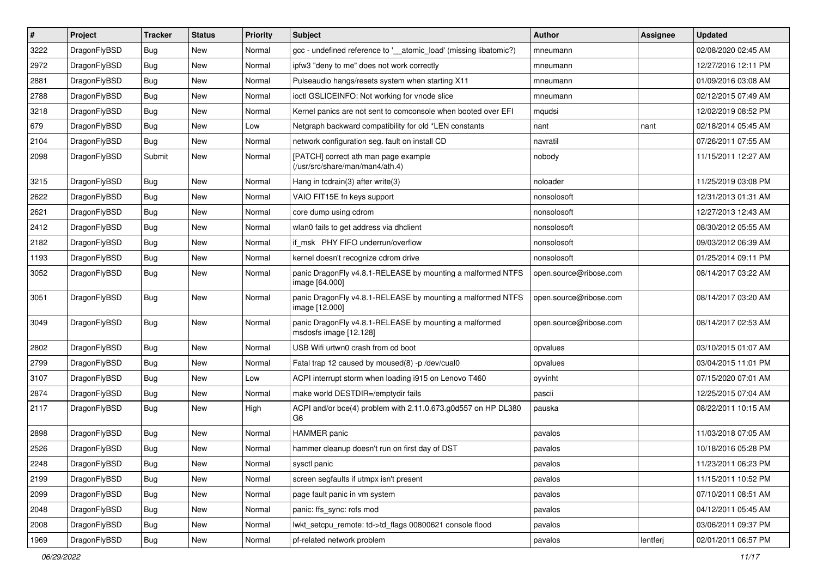| $\sharp$ | Project      | <b>Tracker</b> | <b>Status</b> | <b>Priority</b> | Subject                                                                          | <b>Author</b>          | Assignee | <b>Updated</b>      |
|----------|--------------|----------------|---------------|-----------------|----------------------------------------------------------------------------------|------------------------|----------|---------------------|
| 3222     | DragonFlyBSD | <b>Bug</b>     | New           | Normal          | gcc - undefined reference to '__atomic_load' (missing libatomic?)                | mneumann               |          | 02/08/2020 02:45 AM |
| 2972     | DragonFlyBSD | <b>Bug</b>     | <b>New</b>    | Normal          | ipfw3 "deny to me" does not work correctly                                       | mneumann               |          | 12/27/2016 12:11 PM |
| 2881     | DragonFlyBSD | <b>Bug</b>     | <b>New</b>    | Normal          | Pulseaudio hangs/resets system when starting X11                                 | mneumann               |          | 01/09/2016 03:08 AM |
| 2788     | DragonFlyBSD | <b>Bug</b>     | New           | Normal          | ioctl GSLICEINFO: Not working for vnode slice                                    | mneumann               |          | 02/12/2015 07:49 AM |
| 3218     | DragonFlyBSD | <b>Bug</b>     | <b>New</b>    | Normal          | Kernel panics are not sent to comconsole when booted over EFI                    | mqudsi                 |          | 12/02/2019 08:52 PM |
| 679      | DragonFlyBSD | <b>Bug</b>     | New           | Low             | Netgraph backward compatibility for old *LEN constants                           | nant                   | nant     | 02/18/2014 05:45 AM |
| 2104     | DragonFlyBSD | <b>Bug</b>     | New           | Normal          | network configuration seg. fault on install CD                                   | navratil               |          | 07/26/2011 07:55 AM |
| 2098     | DragonFlyBSD | Submit         | New           | Normal          | [PATCH] correct ath man page example<br>(/usr/src/share/man/man4/ath.4)          | nobody                 |          | 11/15/2011 12:27 AM |
| 3215     | DragonFlyBSD | <b>Bug</b>     | New           | Normal          | Hang in tcdrain(3) after write(3)                                                | noloader               |          | 11/25/2019 03:08 PM |
| 2622     | DragonFlyBSD | <b>Bug</b>     | <b>New</b>    | Normal          | VAIO FIT15E fn keys support                                                      | nonsolosoft            |          | 12/31/2013 01:31 AM |
| 2621     | DragonFlyBSD | <b>Bug</b>     | New           | Normal          | core dump using cdrom                                                            | nonsolosoft            |          | 12/27/2013 12:43 AM |
| 2412     | DragonFlyBSD | <b>Bug</b>     | <b>New</b>    | Normal          | wlan0 fails to get address via dhclient                                          | nonsolosoft            |          | 08/30/2012 05:55 AM |
| 2182     | DragonFlyBSD | <b>Bug</b>     | <b>New</b>    | Normal          | if_msk PHY FIFO underrun/overflow                                                | nonsolosoft            |          | 09/03/2012 06:39 AM |
| 1193     | DragonFlyBSD | <b>Bug</b>     | New           | Normal          | kernel doesn't recognize cdrom drive                                             | nonsolosoft            |          | 01/25/2014 09:11 PM |
| 3052     | DragonFlyBSD | Bug            | <b>New</b>    | Normal          | panic DragonFly v4.8.1-RELEASE by mounting a malformed NTFS<br>image [64.000]    | open.source@ribose.com |          | 08/14/2017 03:22 AM |
| 3051     | DragonFlyBSD | <b>Bug</b>     | New           | Normal          | panic DragonFly v4.8.1-RELEASE by mounting a malformed NTFS<br>image [12.000]    | open.source@ribose.com |          | 08/14/2017 03:20 AM |
| 3049     | DragonFlyBSD | Bug            | New           | Normal          | panic DragonFly v4.8.1-RELEASE by mounting a malformed<br>msdosfs image [12.128] | open.source@ribose.com |          | 08/14/2017 02:53 AM |
| 2802     | DragonFlyBSD | Bug            | <b>New</b>    | Normal          | USB Wifi urtwn0 crash from cd boot                                               | opvalues               |          | 03/10/2015 01:07 AM |
| 2799     | DragonFlyBSD | Bug            | New           | Normal          | Fatal trap 12 caused by moused(8) -p /dev/cual0                                  | opvalues               |          | 03/04/2015 11:01 PM |
| 3107     | DragonFlyBSD | Bug            | New           | Low             | ACPI interrupt storm when loading i915 on Lenovo T460                            | oyvinht                |          | 07/15/2020 07:01 AM |
| 2874     | DragonFlyBSD | Bug            | <b>New</b>    | Normal          | make world DESTDIR=/emptydir fails                                               | pascii                 |          | 12/25/2015 07:04 AM |
| 2117     | DragonFlyBSD | <b>Bug</b>     | New           | High            | ACPI and/or bce(4) problem with 2.11.0.673.g0d557 on HP DL380<br>G6              | pauska                 |          | 08/22/2011 10:15 AM |
| 2898     | DragonFlyBSD | Bug            | New           | Normal          | <b>HAMMER</b> panic                                                              | pavalos                |          | 11/03/2018 07:05 AM |
| 2526     | DragonFlyBSD | Bug            | <b>New</b>    | Normal          | hammer cleanup doesn't run on first day of DST                                   | pavalos                |          | 10/18/2016 05:28 PM |
| 2248     | DragonFlyBSD | <b>Bug</b>     | <b>New</b>    | Normal          | sysctl panic                                                                     | pavalos                |          | 11/23/2011 06:23 PM |
| 2199     | DragonFlyBSD | <b>Bug</b>     | <b>New</b>    | Normal          | screen segfaults if utmpx isn't present                                          | pavalos                |          | 11/15/2011 10:52 PM |
| 2099     | DragonFlyBSD | <b>Bug</b>     | New           | Normal          | page fault panic in vm system                                                    | pavalos                |          | 07/10/2011 08:51 AM |
| 2048     | DragonFlyBSD | <b>Bug</b>     | New           | Normal          | panic: ffs_sync: rofs mod                                                        | pavalos                |          | 04/12/2011 05:45 AM |
| 2008     | DragonFlyBSD | <b>Bug</b>     | <b>New</b>    | Normal          | lwkt_setcpu_remote: td->td_flags 00800621 console flood                          | pavalos                |          | 03/06/2011 09:37 PM |
| 1969     | DragonFlyBSD | <b>Bug</b>     | New           | Normal          | pf-related network problem                                                       | pavalos                | lentferj | 02/01/2011 06:57 PM |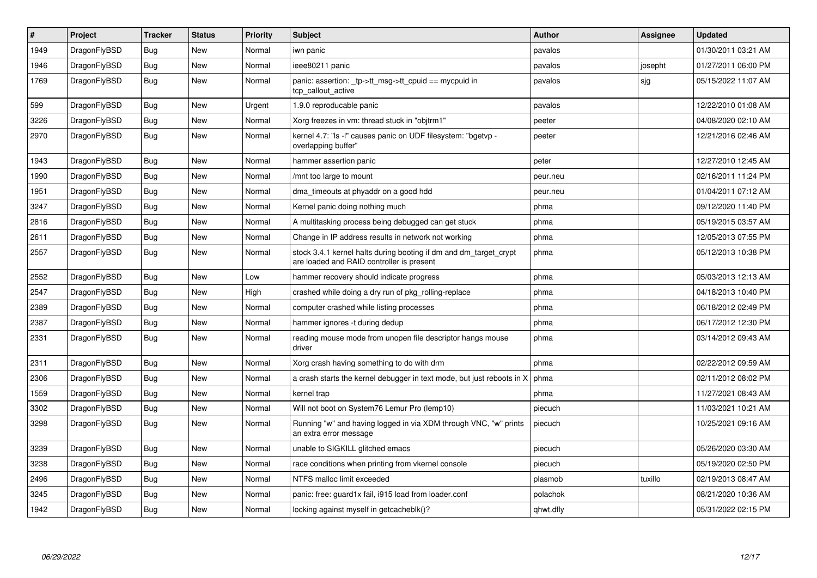| $\vert$ # | Project      | <b>Tracker</b> | <b>Status</b> | <b>Priority</b> | <b>Subject</b>                                                                                                 | <b>Author</b> | Assignee | <b>Updated</b>      |
|-----------|--------------|----------------|---------------|-----------------|----------------------------------------------------------------------------------------------------------------|---------------|----------|---------------------|
| 1949      | DragonFlyBSD | Bug            | <b>New</b>    | Normal          | iwn panic                                                                                                      | pavalos       |          | 01/30/2011 03:21 AM |
| 1946      | DragonFlyBSD | <b>Bug</b>     | <b>New</b>    | Normal          | ieee80211 panic                                                                                                | pavalos       | josepht  | 01/27/2011 06:00 PM |
| 1769      | DragonFlyBSD | <b>Bug</b>     | <b>New</b>    | Normal          | panic: assertion: _tp->tt_msg->tt_cpuid == mycpuid in<br>tcp_callout_active                                    | pavalos       | sjg      | 05/15/2022 11:07 AM |
| 599       | DragonFlyBSD | Bug            | <b>New</b>    | Urgent          | 1.9.0 reproducable panic                                                                                       | pavalos       |          | 12/22/2010 01:08 AM |
| 3226      | DragonFlyBSD | Bug            | New           | Normal          | Xorg freezes in vm: thread stuck in "objtrm1"                                                                  | peeter        |          | 04/08/2020 02:10 AM |
| 2970      | DragonFlyBSD | <b>Bug</b>     | <b>New</b>    | Normal          | kernel 4.7: "Is -I" causes panic on UDF filesystem: "bgetvp -<br>overlapping buffer"                           | peeter        |          | 12/21/2016 02:46 AM |
| 1943      | DragonFlyBSD | <b>Bug</b>     | <b>New</b>    | Normal          | hammer assertion panic                                                                                         | peter         |          | 12/27/2010 12:45 AM |
| 1990      | DragonFlyBSD | <b>Bug</b>     | New           | Normal          | mnt too large to mount                                                                                         | peur.neu      |          | 02/16/2011 11:24 PM |
| 1951      | DragonFlyBSD | Bug            | New           | Normal          | dma_timeouts at phyaddr on a good hdd                                                                          | peur.neu      |          | 01/04/2011 07:12 AM |
| 3247      | DragonFlyBSD | Bug            | <b>New</b>    | Normal          | Kernel panic doing nothing much                                                                                | phma          |          | 09/12/2020 11:40 PM |
| 2816      | DragonFlyBSD | Bug            | <b>New</b>    | Normal          | A multitasking process being debugged can get stuck                                                            | phma          |          | 05/19/2015 03:57 AM |
| 2611      | DragonFlyBSD | <b>Bug</b>     | <b>New</b>    | Normal          | Change in IP address results in network not working                                                            | phma          |          | 12/05/2013 07:55 PM |
| 2557      | DragonFlyBSD | Bug            | New           | Normal          | stock 3.4.1 kernel halts during booting if dm and dm_target_crypt<br>are loaded and RAID controller is present | phma          |          | 05/12/2013 10:38 PM |
| 2552      | DragonFlyBSD | <b>Bug</b>     | <b>New</b>    | Low             | hammer recovery should indicate progress                                                                       | phma          |          | 05/03/2013 12:13 AM |
| 2547      | DragonFlyBSD | Bug            | <b>New</b>    | High            | crashed while doing a dry run of pkg rolling-replace                                                           | phma          |          | 04/18/2013 10:40 PM |
| 2389      | DragonFlyBSD | <b>Bug</b>     | New           | Normal          | computer crashed while listing processes                                                                       | phma          |          | 06/18/2012 02:49 PM |
| 2387      | DragonFlyBSD | Bug            | New           | Normal          | hammer ignores -t during dedup                                                                                 | phma          |          | 06/17/2012 12:30 PM |
| 2331      | DragonFlyBSD | <b>Bug</b>     | New           | Normal          | reading mouse mode from unopen file descriptor hangs mouse<br>driver                                           | phma          |          | 03/14/2012 09:43 AM |
| 2311      | DragonFlyBSD | Bug            | <b>New</b>    | Normal          | Xorg crash having something to do with drm                                                                     | phma          |          | 02/22/2012 09:59 AM |
| 2306      | DragonFlyBSD | <b>Bug</b>     | New           | Normal          | a crash starts the kernel debugger in text mode, but just reboots in X                                         | phma          |          | 02/11/2012 08:02 PM |
| 1559      | DragonFlyBSD | Bug            | New           | Normal          | kernel trap                                                                                                    | phma          |          | 11/27/2021 08:43 AM |
| 3302      | DragonFlyBSD | Bug            | <b>New</b>    | Normal          | Will not boot on System76 Lemur Pro (lemp10)                                                                   | piecuch       |          | 11/03/2021 10:21 AM |
| 3298      | DragonFlyBSD | <b>Bug</b>     | New           | Normal          | Running "w" and having logged in via XDM through VNC, "w" prints<br>an extra error message                     | piecuch       |          | 10/25/2021 09:16 AM |
| 3239      | DragonFlyBSD | <b>Bug</b>     | New           | Normal          | unable to SIGKILL glitched emacs                                                                               | piecuch       |          | 05/26/2020 03:30 AM |
| 3238      | DragonFlyBSD | <b>Bug</b>     | New           | Normal          | race conditions when printing from vkernel console                                                             | piecuch       |          | 05/19/2020 02:50 PM |
| 2496      | DragonFlyBSD | Bug            | <b>New</b>    | Normal          | NTFS malloc limit exceeded                                                                                     | plasmob       | tuxillo  | 02/19/2013 08:47 AM |
| 3245      | DragonFlyBSD | Bug            | <b>New</b>    | Normal          | panic: free: guard1x fail, i915 load from loader.conf                                                          | polachok      |          | 08/21/2020 10:36 AM |
| 1942      | DragonFlyBSD | Bug            | New           | Normal          | locking against myself in getcacheblk()?                                                                       | qhwt.dfly     |          | 05/31/2022 02:15 PM |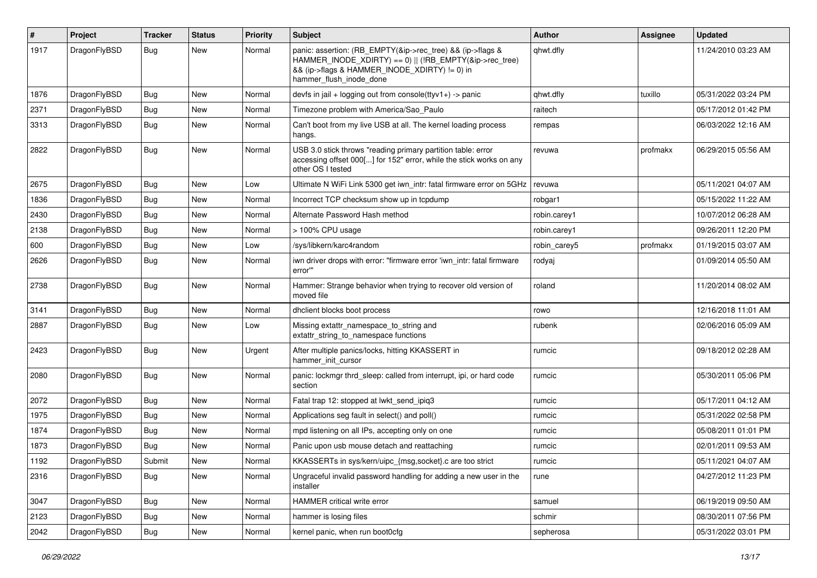| #    | Project      | <b>Tracker</b> | <b>Status</b> | <b>Priority</b> | Subject                                                                                                                                                                                           | Author       | Assignee | <b>Updated</b>      |
|------|--------------|----------------|---------------|-----------------|---------------------------------------------------------------------------------------------------------------------------------------------------------------------------------------------------|--------------|----------|---------------------|
| 1917 | DragonFlyBSD | Bug            | New           | Normal          | panic: assertion: (RB_EMPTY(&ip->rec_tree) && (ip->flags &<br>HAMMER INODE XDIRTY) == 0)    (!RB EMPTY(&ip->rec tree)<br>&& (ip->flags & HAMMER_INODE_XDIRTY) != 0) in<br>hammer_flush_inode_done | qhwt.dfly    |          | 11/24/2010 03:23 AM |
| 1876 | DragonFlyBSD | Bug            | <b>New</b>    | Normal          | devfs in $ ail + logging$ out from console(ttyv1+) -> panic                                                                                                                                       | qhwt.dfly    | tuxillo  | 05/31/2022 03:24 PM |
| 2371 | DragonFlyBSD | <b>Bug</b>     | New           | Normal          | Timezone problem with America/Sao Paulo                                                                                                                                                           | raitech      |          | 05/17/2012 01:42 PM |
| 3313 | DragonFlyBSD | Bug            | New           | Normal          | Can't boot from my live USB at all. The kernel loading process<br>hangs.                                                                                                                          | rempas       |          | 06/03/2022 12:16 AM |
| 2822 | DragonFlyBSD | <b>Bug</b>     | <b>New</b>    | Normal          | USB 3.0 stick throws "reading primary partition table: error<br>accessing offset 000[] for 152" error, while the stick works on any<br>other OS I tested                                          | revuwa       | profmakx | 06/29/2015 05:56 AM |
| 2675 | DragonFlyBSD | Bug            | <b>New</b>    | Low             | Ultimate N WiFi Link 5300 get iwn_intr: fatal firmware error on 5GHz                                                                                                                              | revuwa       |          | 05/11/2021 04:07 AM |
| 1836 | DragonFlyBSD | Bug            | <b>New</b>    | Normal          | Incorrect TCP checksum show up in tcpdump                                                                                                                                                         | robgar1      |          | 05/15/2022 11:22 AM |
| 2430 | DragonFlyBSD | <b>Bug</b>     | New           | Normal          | Alternate Password Hash method                                                                                                                                                                    | robin.carey1 |          | 10/07/2012 06:28 AM |
| 2138 | DragonFlyBSD | <b>Bug</b>     | New           | Normal          | > 100% CPU usage                                                                                                                                                                                  | robin.carey1 |          | 09/26/2011 12:20 PM |
| 600  | DragonFlyBSD | <b>Bug</b>     | <b>New</b>    | Low             | /sys/libkern/karc4random                                                                                                                                                                          | robin carey5 | profmakx | 01/19/2015 03:07 AM |
| 2626 | DragonFlyBSD | <b>Bug</b>     | New           | Normal          | iwn driver drops with error: "firmware error 'iwn intr: fatal firmware<br>error""                                                                                                                 | rodyaj       |          | 01/09/2014 05:50 AM |
| 2738 | DragonFlyBSD | Bug            | <b>New</b>    | Normal          | Hammer: Strange behavior when trying to recover old version of<br>moved file                                                                                                                      | roland       |          | 11/20/2014 08:02 AM |
| 3141 | DragonFlyBSD | Bug            | <b>New</b>    | Normal          | dhclient blocks boot process                                                                                                                                                                      | rowo         |          | 12/16/2018 11:01 AM |
| 2887 | DragonFlyBSD | Bug            | <b>New</b>    | Low             | Missing extattr_namespace_to_string and<br>extattr_string_to_namespace functions                                                                                                                  | rubenk       |          | 02/06/2016 05:09 AM |
| 2423 | DragonFlyBSD | Bug            | <b>New</b>    | Urgent          | After multiple panics/locks, hitting KKASSERT in<br>hammer init cursor                                                                                                                            | rumcic       |          | 09/18/2012 02:28 AM |
| 2080 | DragonFlyBSD | Bug            | New           | Normal          | panic: lockmgr thrd sleep: called from interrupt, ipi, or hard code<br>section                                                                                                                    | rumcic       |          | 05/30/2011 05:06 PM |
| 2072 | DragonFlyBSD | Bug            | <b>New</b>    | Normal          | Fatal trap 12: stopped at lwkt_send_ipiq3                                                                                                                                                         | rumcic       |          | 05/17/2011 04:12 AM |
| 1975 | DragonFlyBSD | <b>Bug</b>     | <b>New</b>    | Normal          | Applications seg fault in select() and poll()                                                                                                                                                     | rumcic       |          | 05/31/2022 02:58 PM |
| 1874 | DragonFlyBSD | Bug            | New           | Normal          | mpd listening on all IPs, accepting only on one                                                                                                                                                   | rumcic       |          | 05/08/2011 01:01 PM |
| 1873 | DragonFlyBSD | <b>Bug</b>     | New           | Normal          | Panic upon usb mouse detach and reattaching                                                                                                                                                       | rumcic       |          | 02/01/2011 09:53 AM |
| 1192 | DragonFlyBSD | Submit         | New           | Normal          | KKASSERTs in sys/kern/uipc_{msg,socket}.c are too strict                                                                                                                                          | rumcic       |          | 05/11/2021 04:07 AM |
| 2316 | DragonFlyBSD | <b>Bug</b>     | New           | Normal          | Ungraceful invalid password handling for adding a new user in the<br>installer                                                                                                                    | rune         |          | 04/27/2012 11:23 PM |
| 3047 | DragonFlyBSD | Bug            | New           | Normal          | HAMMER critical write error                                                                                                                                                                       | samuel       |          | 06/19/2019 09:50 AM |
| 2123 | DragonFlyBSD | <b>Bug</b>     | New           | Normal          | hammer is losing files                                                                                                                                                                            | schmir       |          | 08/30/2011 07:56 PM |
| 2042 | DragonFlyBSD | <b>Bug</b>     | New           | Normal          | kernel panic, when run boot0cfg                                                                                                                                                                   | sepherosa    |          | 05/31/2022 03:01 PM |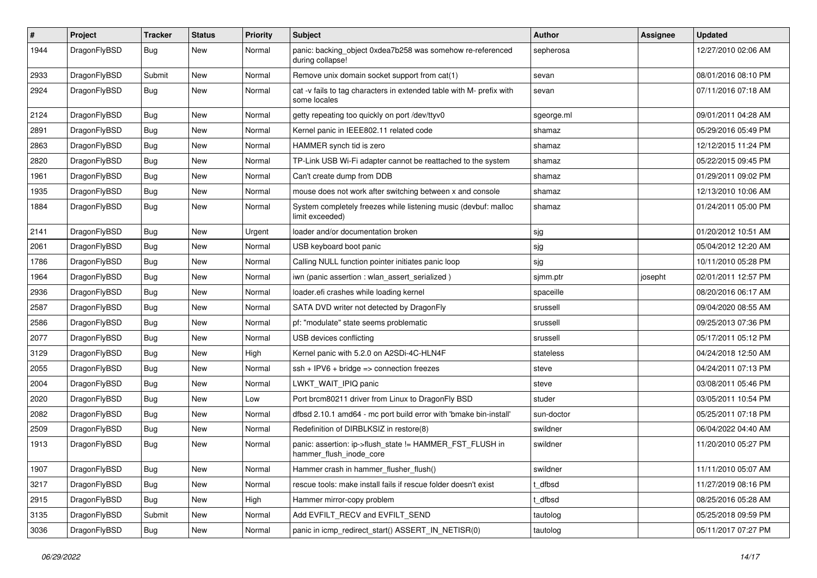| $\sharp$ | Project      | <b>Tracker</b> | <b>Status</b> | <b>Priority</b> | Subject                                                                              | <b>Author</b> | Assignee | <b>Updated</b>      |
|----------|--------------|----------------|---------------|-----------------|--------------------------------------------------------------------------------------|---------------|----------|---------------------|
| 1944     | DragonFlyBSD | Bug            | New           | Normal          | panic: backing_object 0xdea7b258 was somehow re-referenced<br>during collapse!       | sepherosa     |          | 12/27/2010 02:06 AM |
| 2933     | DragonFlyBSD | Submit         | <b>New</b>    | Normal          | Remove unix domain socket support from cat(1)                                        | sevan         |          | 08/01/2016 08:10 PM |
| 2924     | DragonFlyBSD | <b>Bug</b>     | New           | Normal          | cat -v fails to tag characters in extended table with M- prefix with<br>some locales | sevan         |          | 07/11/2016 07:18 AM |
| 2124     | DragonFlyBSD | Bug            | <b>New</b>    | Normal          | getty repeating too quickly on port /dev/ttyv0                                       | sgeorge.ml    |          | 09/01/2011 04:28 AM |
| 2891     | DragonFlyBSD | <b>Bug</b>     | <b>New</b>    | Normal          | Kernel panic in IEEE802.11 related code                                              | shamaz        |          | 05/29/2016 05:49 PM |
| 2863     | DragonFlyBSD | Bug            | <b>New</b>    | Normal          | HAMMER synch tid is zero                                                             | shamaz        |          | 12/12/2015 11:24 PM |
| 2820     | DragonFlyBSD | <b>Bug</b>     | <b>New</b>    | Normal          | TP-Link USB Wi-Fi adapter cannot be reattached to the system                         | shamaz        |          | 05/22/2015 09:45 PM |
| 1961     | DragonFlyBSD | Bug            | <b>New</b>    | Normal          | Can't create dump from DDB                                                           | shamaz        |          | 01/29/2011 09:02 PM |
| 1935     | DragonFlyBSD | <b>Bug</b>     | <b>New</b>    | Normal          | mouse does not work after switching between x and console                            | shamaz        |          | 12/13/2010 10:06 AM |
| 1884     | DragonFlyBSD | Bug            | <b>New</b>    | Normal          | System completely freezes while listening music (devbuf: malloc<br>limit exceeded)   | shamaz        |          | 01/24/2011 05:00 PM |
| 2141     | DragonFlyBSD | Bug            | <b>New</b>    | Urgent          | loader and/or documentation broken                                                   | sjg           |          | 01/20/2012 10:51 AM |
| 2061     | DragonFlyBSD | <b>Bug</b>     | <b>New</b>    | Normal          | USB keyboard boot panic                                                              | sjg           |          | 05/04/2012 12:20 AM |
| 1786     | DragonFlyBSD | Bug            | New           | Normal          | Calling NULL function pointer initiates panic loop                                   | sjg           |          | 10/11/2010 05:28 PM |
| 1964     | DragonFlyBSD | <b>Bug</b>     | New           | Normal          | iwn (panic assertion : wlan_assert_serialized)                                       | sjmm.ptr      | josepht  | 02/01/2011 12:57 PM |
| 2936     | DragonFlyBSD | Bug            | <b>New</b>    | Normal          | loader.efi crashes while loading kernel                                              | spaceille     |          | 08/20/2016 06:17 AM |
| 2587     | DragonFlyBSD | <b>Bug</b>     | New           | Normal          | SATA DVD writer not detected by DragonFly                                            | srussell      |          | 09/04/2020 08:55 AM |
| 2586     | DragonFlyBSD | Bug            | <b>New</b>    | Normal          | pf: "modulate" state seems problematic                                               | srussell      |          | 09/25/2013 07:36 PM |
| 2077     | DragonFlyBSD | <b>Bug</b>     | <b>New</b>    | Normal          | USB devices conflicting                                                              | srussell      |          | 05/17/2011 05:12 PM |
| 3129     | DragonFlyBSD | <b>Bug</b>     | <b>New</b>    | High            | Kernel panic with 5.2.0 on A2SDi-4C-HLN4F                                            | stateless     |          | 04/24/2018 12:50 AM |
| 2055     | DragonFlyBSD | Bug            | <b>New</b>    | Normal          | $ssh + IPV6 + bridge \Rightarrow connection freezes$                                 | steve         |          | 04/24/2011 07:13 PM |
| 2004     | DragonFlyBSD | <b>Bug</b>     | <b>New</b>    | Normal          | LWKT WAIT IPIQ panic                                                                 | steve         |          | 03/08/2011 05:46 PM |
| 2020     | DragonFlyBSD | Bug            | <b>New</b>    | Low             | Port brcm80211 driver from Linux to DragonFly BSD                                    | studer        |          | 03/05/2011 10:54 PM |
| 2082     | DragonFlyBSD | <b>Bug</b>     | <b>New</b>    | Normal          | dfbsd 2.10.1 amd64 - mc port build error with 'bmake bin-install'                    | sun-doctor    |          | 05/25/2011 07:18 PM |
| 2509     | DragonFlyBSD | <b>Bug</b>     | <b>New</b>    | Normal          | Redefinition of DIRBLKSIZ in restore(8)                                              | swildner      |          | 06/04/2022 04:40 AM |
| 1913     | DragonFlyBSD | Bug            | New           | Normal          | panic: assertion: ip->flush_state != HAMMER_FST_FLUSH in<br>hammer_flush_inode_core  | swildner      |          | 11/20/2010 05:27 PM |
| 1907     | DragonFlyBSD | <b>Bug</b>     | New           | Normal          | Hammer crash in hammer flusher flush()                                               | swildner      |          | 11/11/2010 05:07 AM |
| 3217     | DragonFlyBSD | <b>Bug</b>     | New           | Normal          | rescue tools: make install fails if rescue folder doesn't exist                      | t_dfbsd       |          | 11/27/2019 08:16 PM |
| 2915     | DragonFlyBSD | <b>Bug</b>     | New           | High            | Hammer mirror-copy problem                                                           | t dfbsd       |          | 08/25/2016 05:28 AM |
| 3135     | DragonFlyBSD | Submit         | New           | Normal          | Add EVFILT RECV and EVFILT SEND                                                      | tautolog      |          | 05/25/2018 09:59 PM |
| 3036     | DragonFlyBSD | <b>Bug</b>     | New           | Normal          | panic in icmp_redirect_start() ASSERT_IN_NETISR(0)                                   | tautolog      |          | 05/11/2017 07:27 PM |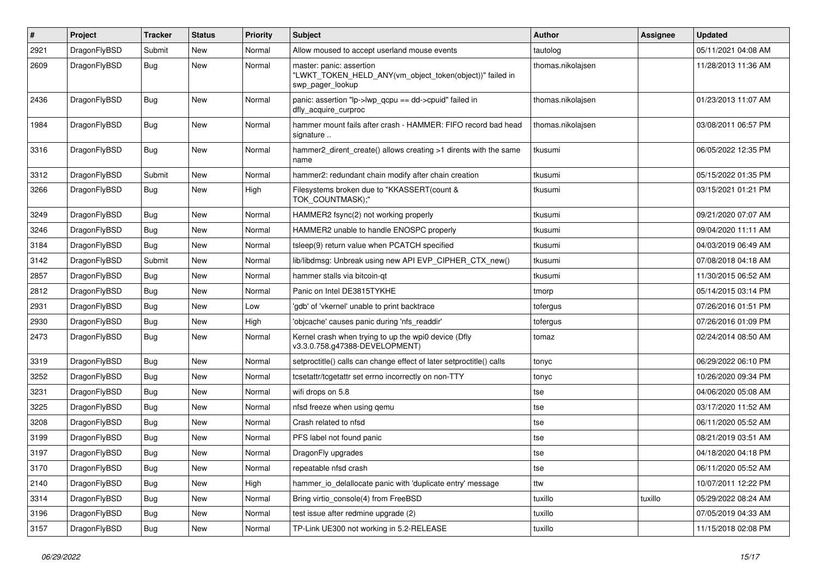| #    | Project      | <b>Tracker</b> | <b>Status</b> | <b>Priority</b> | Subject                                                                                                  | <b>Author</b>     | <b>Assignee</b> | <b>Updated</b>      |
|------|--------------|----------------|---------------|-----------------|----------------------------------------------------------------------------------------------------------|-------------------|-----------------|---------------------|
| 2921 | DragonFlyBSD | Submit         | <b>New</b>    | Normal          | Allow moused to accept userland mouse events                                                             | tautolog          |                 | 05/11/2021 04:08 AM |
| 2609 | DragonFlyBSD | Bug            | New           | Normal          | master: panic: assertion<br>"LWKT_TOKEN_HELD_ANY(vm_object_token(object))" failed in<br>swp_pager_lookup | thomas.nikolajsen |                 | 11/28/2013 11:36 AM |
| 2436 | DragonFlyBSD | <b>Bug</b>     | New           | Normal          | panic: assertion "lp->lwp_qcpu == dd->cpuid" failed in<br>dfly_acquire_curproc                           | thomas.nikolajsen |                 | 01/23/2013 11:07 AM |
| 1984 | DragonFlyBSD | Bug            | <b>New</b>    | Normal          | hammer mount fails after crash - HAMMER: FIFO record bad head<br>signature                               | thomas.nikolajsen |                 | 03/08/2011 06:57 PM |
| 3316 | DragonFlyBSD | <b>Bug</b>     | <b>New</b>    | Normal          | hammer2_dirent_create() allows creating >1 dirents with the same<br>name                                 | tkusumi           |                 | 06/05/2022 12:35 PM |
| 3312 | DragonFlyBSD | Submit         | New           | Normal          | hammer2: redundant chain modify after chain creation                                                     | tkusumi           |                 | 05/15/2022 01:35 PM |
| 3266 | DragonFlyBSD | Bug            | New           | High            | Filesystems broken due to "KKASSERT(count &<br>TOK_COUNTMASK);"                                          | tkusumi           |                 | 03/15/2021 01:21 PM |
| 3249 | DragonFlyBSD | <b>Bug</b>     | New           | Normal          | HAMMER2 fsync(2) not working properly                                                                    | tkusumi           |                 | 09/21/2020 07:07 AM |
| 3246 | DragonFlyBSD | <b>Bug</b>     | New           | Normal          | HAMMER2 unable to handle ENOSPC properly                                                                 | tkusumi           |                 | 09/04/2020 11:11 AM |
| 3184 | DragonFlyBSD | <b>Bug</b>     | New           | Normal          | tsleep(9) return value when PCATCH specified                                                             | tkusumi           |                 | 04/03/2019 06:49 AM |
| 3142 | DragonFlyBSD | Submit         | <b>New</b>    | Normal          | lib/libdmsg: Unbreak using new API EVP_CIPHER_CTX_new()                                                  | tkusumi           |                 | 07/08/2018 04:18 AM |
| 2857 | DragonFlyBSD | <b>Bug</b>     | <b>New</b>    | Normal          | hammer stalls via bitcoin-qt                                                                             | tkusumi           |                 | 11/30/2015 06:52 AM |
| 2812 | DragonFlyBSD | <b>Bug</b>     | New           | Normal          | Panic on Intel DE3815TYKHE                                                                               | tmorp             |                 | 05/14/2015 03:14 PM |
| 2931 | DragonFlyBSD | <b>Bug</b>     | New           | Low             | 'gdb' of 'vkernel' unable to print backtrace                                                             | tofergus          |                 | 07/26/2016 01:51 PM |
| 2930 | DragonFlyBSD | <b>Bug</b>     | <b>New</b>    | High            | 'objcache' causes panic during 'nfs_readdir'                                                             | tofergus          |                 | 07/26/2016 01:09 PM |
| 2473 | DragonFlyBSD | <b>Bug</b>     | New           | Normal          | Kernel crash when trying to up the wpi0 device (Dfly<br>v3.3.0.758.g47388-DEVELOPMENT)                   | tomaz             |                 | 02/24/2014 08:50 AM |
| 3319 | DragonFlyBSD | <b>Bug</b>     | New           | Normal          | setproctitle() calls can change effect of later setproctitle() calls                                     | tonyc             |                 | 06/29/2022 06:10 PM |
| 3252 | DragonFlyBSD | <b>Bug</b>     | <b>New</b>    | Normal          | tcsetattr/tcgetattr set errno incorrectly on non-TTY                                                     | tonyc             |                 | 10/26/2020 09:34 PM |
| 3231 | DragonFlyBSD | Bug            | <b>New</b>    | Normal          | wifi drops on 5.8                                                                                        | tse               |                 | 04/06/2020 05:08 AM |
| 3225 | DragonFlyBSD | Bug            | <b>New</b>    | Normal          | nfsd freeze when using qemu                                                                              | tse               |                 | 03/17/2020 11:52 AM |
| 3208 | DragonFlyBSD | Bug            | New           | Normal          | Crash related to nfsd                                                                                    | tse               |                 | 06/11/2020 05:52 AM |
| 3199 | DragonFlyBSD | Bug            | New           | Normal          | PFS label not found panic                                                                                | tse               |                 | 08/21/2019 03:51 AM |
| 3197 | DragonFlyBSD | Bug            | <b>New</b>    | Normal          | DragonFly upgrades                                                                                       | tse               |                 | 04/18/2020 04:18 PM |
| 3170 | DragonFlyBSD | <b>Bug</b>     | <b>New</b>    | Normal          | repeatable nfsd crash                                                                                    | tse               |                 | 06/11/2020 05:52 AM |
| 2140 | DragonFlyBSD | <b>Bug</b>     | New           | High            | hammer_io_delallocate panic with 'duplicate entry' message                                               | ttw               |                 | 10/07/2011 12:22 PM |
| 3314 | DragonFlyBSD | <b>Bug</b>     | <b>New</b>    | Normal          | Bring virtio console(4) from FreeBSD                                                                     | tuxillo           | tuxillo         | 05/29/2022 08:24 AM |
| 3196 | DragonFlyBSD | <b>Bug</b>     | <b>New</b>    | Normal          | test issue after redmine upgrade (2)                                                                     | tuxillo           |                 | 07/05/2019 04:33 AM |
| 3157 | DragonFlyBSD | <b>Bug</b>     | New           | Normal          | TP-Link UE300 not working in 5.2-RELEASE                                                                 | tuxillo           |                 | 11/15/2018 02:08 PM |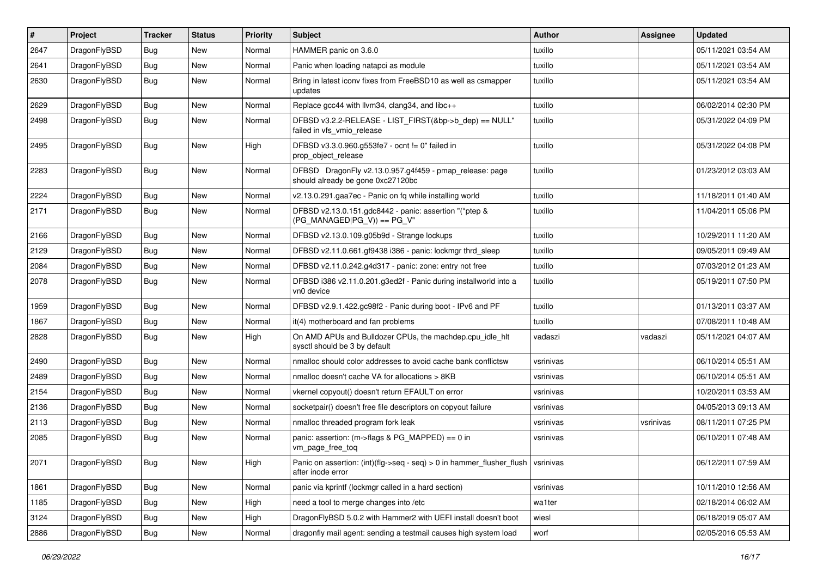| $\sharp$ | Project      | <b>Tracker</b> | <b>Status</b> | <b>Priority</b> | Subject                                                                                              | <b>Author</b> | Assignee  | <b>Updated</b>      |
|----------|--------------|----------------|---------------|-----------------|------------------------------------------------------------------------------------------------------|---------------|-----------|---------------------|
| 2647     | DragonFlyBSD | Bug            | <b>New</b>    | Normal          | HAMMER panic on 3.6.0                                                                                | tuxillo       |           | 05/11/2021 03:54 AM |
| 2641     | DragonFlyBSD | Bug            | <b>New</b>    | Normal          | Panic when loading natapci as module                                                                 | tuxillo       |           | 05/11/2021 03:54 AM |
| 2630     | DragonFlyBSD | Bug            | New           | Normal          | Bring in latest iconv fixes from FreeBSD10 as well as csmapper<br>updates                            | tuxillo       |           | 05/11/2021 03:54 AM |
| 2629     | DragonFlyBSD | Bug            | <b>New</b>    | Normal          | Replace gcc44 with llvm34, clang34, and libc++                                                       | tuxillo       |           | 06/02/2014 02:30 PM |
| 2498     | DragonFlyBSD | Bug            | New           | Normal          | DFBSD v3.2.2-RELEASE - LIST_FIRST(&bp->b_dep) == NULL"<br>failed in vfs_vmio_release                 | tuxillo       |           | 05/31/2022 04:09 PM |
| 2495     | DragonFlyBSD | Bug            | New           | High            | DFBSD v3.3.0.960.g553fe7 - ocnt != 0" failed in<br>prop_object_release                               | tuxillo       |           | 05/31/2022 04:08 PM |
| 2283     | DragonFlyBSD | Bug            | <b>New</b>    | Normal          | DFBSD DragonFly v2.13.0.957.g4f459 - pmap_release: page<br>should already be gone 0xc27120bc         | tuxillo       |           | 01/23/2012 03:03 AM |
| 2224     | DragonFlyBSD | Bug            | New           | Normal          | v2.13.0.291.gaa7ec - Panic on fq while installing world                                              | tuxillo       |           | 11/18/2011 01:40 AM |
| 2171     | DragonFlyBSD | Bug            | New           | Normal          | DFBSD v2.13.0.151.gdc8442 - panic: assertion "(*ptep &<br>$(PG_MANAGED PG_V)$ == PG_V"               | tuxillo       |           | 11/04/2011 05:06 PM |
| 2166     | DragonFlyBSD | Bug            | New           | Normal          | DFBSD v2.13.0.109.g05b9d - Strange lockups                                                           | tuxillo       |           | 10/29/2011 11:20 AM |
| 2129     | DragonFlyBSD | Bug            | New           | Normal          | DFBSD v2.11.0.661.gf9438 i386 - panic: lockmgr thrd_sleep                                            | tuxillo       |           | 09/05/2011 09:49 AM |
| 2084     | DragonFlyBSD | Bug            | <b>New</b>    | Normal          | DFBSD v2.11.0.242.g4d317 - panic: zone: entry not free                                               | tuxillo       |           | 07/03/2012 01:23 AM |
| 2078     | DragonFlyBSD | Bug            | New           | Normal          | DFBSD i386 v2.11.0.201.g3ed2f - Panic during installworld into a<br>vn0 device                       | tuxillo       |           | 05/19/2011 07:50 PM |
| 1959     | DragonFlyBSD | Bug            | New           | Normal          | DFBSD v2.9.1.422.gc98f2 - Panic during boot - IPv6 and PF                                            | tuxillo       |           | 01/13/2011 03:37 AM |
| 1867     | DragonFlyBSD | Bug            | <b>New</b>    | Normal          | it(4) motherboard and fan problems                                                                   | tuxillo       |           | 07/08/2011 10:48 AM |
| 2828     | DragonFlyBSD | Bug            | New           | High            | On AMD APUs and Bulldozer CPUs, the machdep.cpu_idle_hlt<br>sysctl should be 3 by default            | vadaszi       | vadaszi   | 05/11/2021 04:07 AM |
| 2490     | DragonFlyBSD | Bug            | New           | Normal          | nmalloc should color addresses to avoid cache bank conflictsw                                        | vsrinivas     |           | 06/10/2014 05:51 AM |
| 2489     | DragonFlyBSD | Bug            | New           | Normal          | nmalloc doesn't cache VA for allocations > 8KB                                                       | vsrinivas     |           | 06/10/2014 05:51 AM |
| 2154     | DragonFlyBSD | Bug            | New           | Normal          | vkernel copyout() doesn't return EFAULT on error                                                     | vsrinivas     |           | 10/20/2011 03:53 AM |
| 2136     | DragonFlyBSD | Bug            | New           | Normal          | socketpair() doesn't free file descriptors on copyout failure                                        | vsrinivas     |           | 04/05/2013 09:13 AM |
| 2113     | DragonFlyBSD | Bug            | New           | Normal          | nmalloc threaded program fork leak                                                                   | vsrinivas     | vsrinivas | 08/11/2011 07:25 PM |
| 2085     | DragonFlyBSD | Bug            | New           | Normal          | panic: assertion: (m->flags & PG_MAPPED) == 0 in<br>vm_page_free_toq                                 | vsrinivas     |           | 06/10/2011 07:48 AM |
| 2071     | DragonFlyBSD | <b>Bug</b>     | New           | High            | Panic on assertion: (int)(flg->seq - seq) > 0 in hammer_flusher_flush vsrinivas<br>after inode error |               |           | 06/12/2011 07:59 AM |
| 1861     | DragonFlyBSD | <b>Bug</b>     | <b>New</b>    | Normal          | panic via kprintf (lockmgr called in a hard section)                                                 | vsrinivas     |           | 10/11/2010 12:56 AM |
| 1185     | DragonFlyBSD | Bug            | New           | High            | need a tool to merge changes into /etc                                                               | wa1ter        |           | 02/18/2014 06:02 AM |
| 3124     | DragonFlyBSD | <b>Bug</b>     | New           | High            | DragonFlyBSD 5.0.2 with Hammer2 with UEFI install doesn't boot                                       | wiesl         |           | 06/18/2019 05:07 AM |
| 2886     | DragonFlyBSD | <b>Bug</b>     | New           | Normal          | dragonfly mail agent: sending a testmail causes high system load                                     | worf          |           | 02/05/2016 05:53 AM |